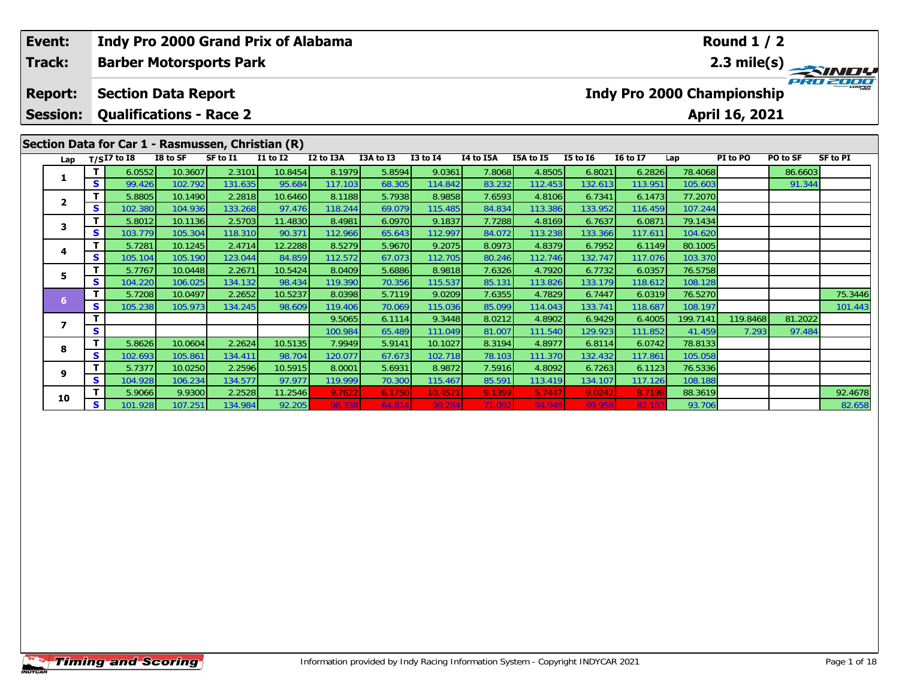| Event:                            |   | <b>Indy Pro 2000 Grand Prix of Alabama</b>                   |          |          |                 |           |           |                 |           |           |              |                 |          | <b>Round 1 / 2</b>                                  |          |                 |
|-----------------------------------|---|--------------------------------------------------------------|----------|----------|-----------------|-----------|-----------|-----------------|-----------|-----------|--------------|-----------------|----------|-----------------------------------------------------|----------|-----------------|
| Track:                            |   | <b>Barber Motorsports Park</b>                               |          |          |                 |           |           |                 |           |           |              |                 |          |                                                     |          | 2.3 mile(s)     |
| <b>Report:</b><br><b>Session:</b> |   | <b>Section Data Report</b><br><b>Qualifications - Race 2</b> |          |          |                 |           |           |                 |           |           |              |                 |          | <b>Indy Pro 2000 Championship</b><br>April 16, 2021 |          |                 |
|                                   |   | Section Data for Car 1 - Rasmussen, Christian (R)            |          |          |                 |           |           |                 |           |           |              |                 |          |                                                     |          |                 |
| Lap                               |   | $T/SI7$ to I8                                                | I8 to SF | SF to I1 | <b>I1 to I2</b> | I2 to I3A | I3A to I3 | <b>I3 to I4</b> | I4 to I5A | I5A to I5 | $I5$ to $I6$ | <b>16 to 17</b> | Lap      | PI to PO                                            | PO to SF | <b>SF to PI</b> |
| 1                                 |   | 6.0552                                                       | 10.3607  | 2.3101   | 10.8454         | 8.1979    | 5.8594    | 9.0361          | 7.8068    | 4.8505    | 6.8021       | 6.2826          | 78.4068  |                                                     | 86.6603  |                 |
|                                   | S | 99.426                                                       | 102.792  | 131.635  | 95.684          | 117.103   | 68.305    | 114.842         | 83.232    | 112.453   | 132.613      | 113.951         | 105.603  |                                                     | 91.344   |                 |
| $\mathbf{2}$                      |   | 5.8805                                                       | 10.1490  | 2.2818   | 10.6460         | 8.1188    | 5.7938    | 8.9858          | 7.6593    | 4.8106    | 6.7341       | 6.1473          | 77.2070  |                                                     |          |                 |
|                                   | S | 102.380                                                      | 104.936  | 133.268  | 97.476          | 118.244   | 69.079    | 115.485         | 84.834    | 113.386   | 133.952      | 116.459         | 107.244  |                                                     |          |                 |
| 3                                 |   | 5.8012                                                       | 10.1136  | 2.5703   | 11.4830         | 8.4981    | 6.0970    | 9.1837          | 7.7288    | 4.8169    | 6.7637       | 6.0871          | 79.1434  |                                                     |          |                 |
|                                   | S | 103.779                                                      | 105.304  | 118.310  | 90.371          | 112.966   | 65.643    | 112.997         | 84.072    | 113.238   | 133.366      | 117.611         | 104.620  |                                                     |          |                 |
| 4                                 |   | 5.7281                                                       | 10.1245  | 2.4714   | 12.2288         | 8.5279    | 5.9670    | 9.2075          | 8.0973    | 4.8379    | 6.7952       | 6.1149          | 80.1005  |                                                     |          |                 |
|                                   | S | 105.104                                                      | 105.190  | 123.044  | 84.859          | 112.572   | 67.073    | 112.705         | 80.246    | 112.746   | 132.747      | 117.076         | 103.370  |                                                     |          |                 |
| 5.                                |   | 5.7767                                                       | 10.0448  | 2.2671   | 10.5424         | 8.0409    | 5.6886    | 8.9818          | 7.6326    | 4.7920    | 6.7732       | 6.0357          | 76.5758  |                                                     |          |                 |
|                                   | S | 104.220                                                      | 106.025  | 134.132  | 98.434          | 119.390   | 70.356    | 115.537         | 85.131    | 113.826   | 133.179      | 118.612         | 108.128  |                                                     |          |                 |
| 6                                 |   | 5.7208                                                       | 10.0497  | 2.2652   | 10.5237         | 8.0398    | 5.7119    | 9.0209          | 7.6355    | 4.7829    | 6.7447       | 6.0319          | 76.5270  |                                                     |          | 75.3446         |
|                                   | S | 105.238                                                      | 105.973  | 134.245  | 98.609          | 119.406   | 70.069    | 115.036         | 85.099    | 114.043   | 133.741      | 118.687         | 108.197  |                                                     |          | 101.443         |
| $\overline{ }$                    |   |                                                              |          |          |                 | 9.5065    | 6.1114    | 9.3448          | 8.0212    | 4.8902    | 6.9429       | 6.4005          | 199.7141 | 119.8468                                            | 81.2022  |                 |
|                                   | S |                                                              |          |          |                 | 100.984   | 65.489    | 111.049         | 81.007    | 111.540   | 129.923      | 111.852         | 41.459   | 7.293                                               | 97.484   |                 |
| 8                                 | т | 5.8626                                                       | 10.0604  | 2.2624   | 10.5135         | 7.9949    | 5.9141    | 10.1027         | 8.3194    | 4.8977    | 6.8114       | 6.0742          | 78.8133  |                                                     |          |                 |
|                                   | S | 102.693                                                      | 105.861  | 134.411  | 98.704          | 120.077   | 67.673    | 102.718         | 78.103    | 111.370   | 132.432      | 117.861         | 105.058  |                                                     |          |                 |
| 9                                 |   | 5.7377                                                       | 10.0250  | 2.2596   | 10.5915         | 8.0001    | 5.6931    | 8.9872          | 7.5916    | 4.8092    | 6.7263       | 6.1123          | 76.5336  |                                                     |          |                 |
|                                   | S | 104.928                                                      | 106.234  | 134.577  | 97.977          | 119.999   | 70.300    | 115.467         | 85.591    | 113.419   | 134.107      | 117.126         | 108.188  |                                                     |          |                 |
| 10                                |   | 5.9066                                                       | 9.9300   | 2.2528   | 11.2546         | 9.7622    | 6.1750    | 10.452          | 9.1399    | 5.744     | 9.0242       | 8.719           | 88.3619  |                                                     |          | 92.4678         |
|                                   | S | 101.928                                                      | 107.251  | 134.984  | 92.205          | 98.338    | 64.814    | 99.284          | 71.092    | 94.949    | 99.958       | 82.10           | 93.706   |                                                     |          | 82.658          |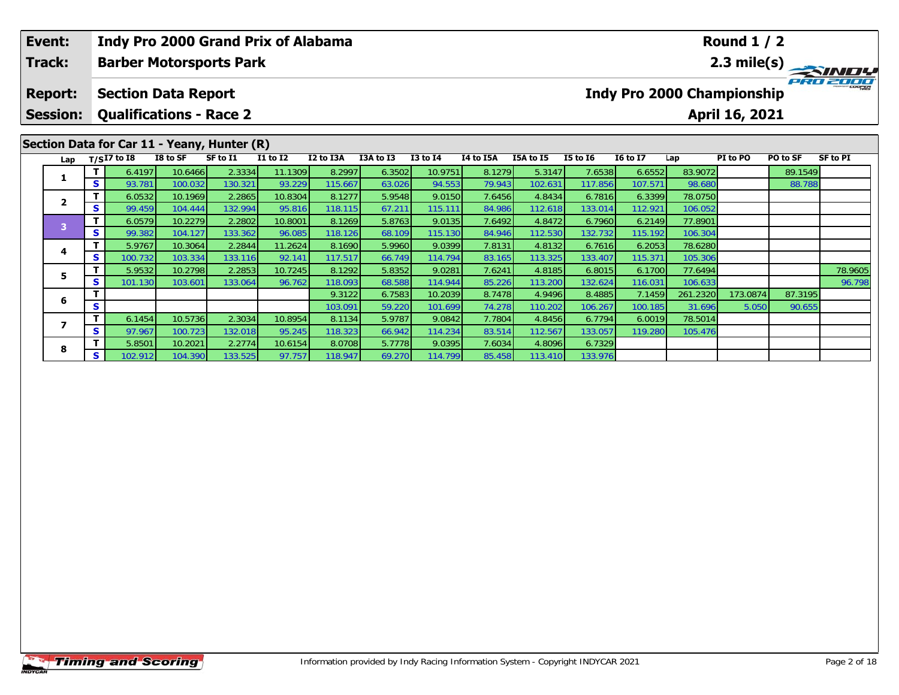| Event:<br>Track: |          |                                |          | <b>Barber Motorsports Park</b>              | Indy Pro 2000 Grand Prix of Alabama |           |           |                 |           |           |                 |                                   |          | <b>Round 1/2</b> |          | 2.3 mile(s) |
|------------------|----------|--------------------------------|----------|---------------------------------------------|-------------------------------------|-----------|-----------|-----------------|-----------|-----------|-----------------|-----------------------------------|----------|------------------|----------|-------------|
| <b>Report:</b>   |          | <b>Section Data Report</b>     |          |                                             |                                     |           |           |                 |           |           |                 | <b>Indy Pro 2000 Championship</b> |          |                  |          | PRO 2000    |
| <b>Session:</b>  |          | <b>Qualifications - Race 2</b> |          |                                             |                                     |           |           |                 |           |           |                 |                                   |          | April 16, 2021   |          |             |
|                  |          |                                |          | Section Data for Car 11 - Yeany, Hunter (R) |                                     |           |           |                 |           |           |                 |                                   |          |                  |          |             |
|                  |          | Lap $T/SI7$ to I8              | I8 to SF | SF to I1                                    | <b>I1 to I2</b>                     | I2 to I3A | I3A to I3 | <b>I3 to I4</b> | I4 to I5A | I5A to I5 | <b>I5 to 16</b> | <b>16 to 17</b>                   | Lap      | PI to PO         | PO to SF | SF to PI    |
|                  |          | 6.4197                         | 10.6466  | 2.3334                                      | 11.1309                             | 8.2997    | 6.3502    | 10.9751         | 8.1279    | 5.3147    | 7.6538          | 6.6552                            | 83.9072  |                  | 89.1549  |             |
|                  | s l      | 93.781                         | 100.032  | 130.321                                     | 93.229                              | 115.667   | 63.026    | 94.553          | 79.943    | 102.631   | 117.856         | 107.571                           | 98.680   |                  | 88.788   |             |
| $\mathbf{2}$     |          | 6.0532                         | 10.1969  | 2.2865                                      | 10.8304                             | 8.1277    | 5.9548    | 9.0150          | 7.6456    | 4.8434    | 6.7816          | 6.3399                            | 78.0750  |                  |          |             |
|                  | S.       | 99.459                         | 104.444  | 132.994                                     | 95.816                              | 118.115   | 67.211    | 115.111         | 84.986    | 112.618   | 133.014         | 112.921                           | 106.052  |                  |          |             |
| 3                |          | 6.0579                         | 10.2279  | 2.2802                                      | 10.8001                             | 8.1269    | 5.8763    | 9.0135          | 7.6492    | 4.8472    | 6.7960          | 6.2149                            | 77.8901  |                  |          |             |
|                  | <b>S</b> | 99.382                         | 104.127  | 133.362                                     | 96.085                              | 118.126   | 68.109    | 115.130         | 84.946    | 112.530   | 132.732         | 115.192                           | 106.304  |                  |          |             |
| 4                |          | 5.9767                         | 10.3064  | 2.2844                                      | 11.2624                             | 8.1690    | 5.9960    | 9.0399          | 7.8131    | 4.8132    | 6.7616          | 6.2053                            | 78.6280  |                  |          |             |
|                  | S.       | 100.732                        | 103.334  | 133.116                                     | 92.141                              | 117.517   | 66.749    | 114.794         | 83.165    | 113.325   | 133.407         | 115.371                           | 105.306  |                  |          |             |
| 5                |          | 5.9532                         | 10.2798  | 2.2853                                      | 10.7245                             | 8.1292    | 5.8352    | 9.0281          | 7.6241    | 4.8185    | 6.8015          | 6.1700                            | 77.6494  |                  |          | 78.9605     |
|                  | S.       | 101.130                        | 103.601  | 133.064                                     | 96.762                              | 118.093   | 68.588    | 114.944         | 85.226    | 113.200   | 132.624         | 116.031                           | 106.633  |                  |          | 96.798      |
| 6                |          |                                |          |                                             |                                     | 9.3122    | 6.7583    | 10.2039         | 8.7478    | 4.9496    | 8.4885          | 7.1459                            | 261.2320 | 173.0874         | 87.3195  |             |
|                  | S        |                                |          |                                             |                                     | 103.091   | 59.220    | 101.699         | 74.278    | 110.2021  | 106.267         | 100.185                           | 31.696   | 5.050            | 90.655   |             |

**<sup>T</sup>** 6.1454 10.5736 2.3034 10.8954 8.1134 5.9787 9.0842 7.7804 4.8456 6.7794 6.0019 78.5014 **<sup>S</sup>** 97.967 100.723 132.018 95.245 118.323 66.942 114.234 83.514 112.567 133.057 119.280 105.476

**<sup>T</sup>** 5.8501 10.2021 2.2774 10.6154 8.0708 5.7778 9.0395 7.6034 4.8096 6.7329 **<sup>S</sup>** 102.912 104.390 133.525 97.757 118.947 69.270 114.799 85.458 113.410 133.976

**7**

**8**

105.476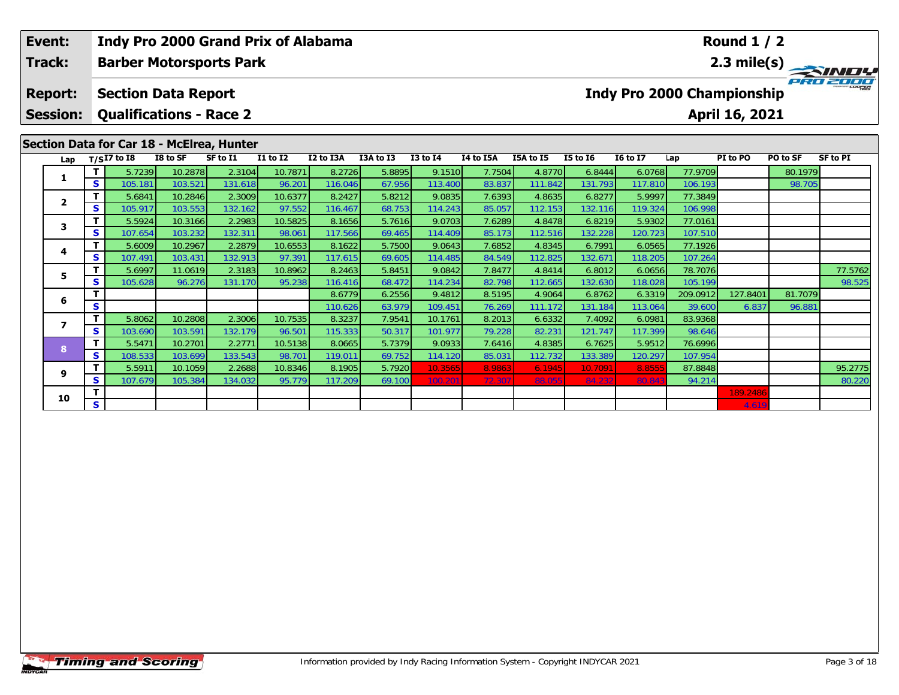| Event:                            |          | <b>Indy Pro 2000 Grand Prix of Alabama</b>                   |                   |                   |              |                   |                  |                   |                  |                   |                   |                                   |                    | <b>Round 1 / 2</b> |          |                 |
|-----------------------------------|----------|--------------------------------------------------------------|-------------------|-------------------|--------------|-------------------|------------------|-------------------|------------------|-------------------|-------------------|-----------------------------------|--------------------|--------------------|----------|-----------------|
| Track:                            |          | <b>Barber Motorsports Park</b>                               |                   |                   |              |                   |                  |                   |                  |                   |                   |                                   |                    |                    |          | 2.3 mile(s)     |
| <b>Report:</b><br><b>Session:</b> |          | <b>Section Data Report</b><br><b>Qualifications - Race 2</b> |                   |                   |              |                   |                  |                   |                  |                   |                   | <b>Indy Pro 2000 Championship</b> |                    | April 16, 2021     |          |                 |
|                                   |          | Section Data for Car 18 - McElrea, Hunter                    |                   |                   |              |                   |                  |                   |                  |                   |                   |                                   |                    |                    |          |                 |
| Lap                               |          | $T/SI\overline{7}$ to I8                                     | I8 to SF          | SF to I1          | $I1$ to $I2$ | I2 to I3A         | I3A to I3        | <b>I3 to I4</b>   | I4 to I5A        | I5A to I5         | <b>I5 to 16</b>   | <b>I6 to I7</b>                   | Lap                | PI to PO           | PO to SF | <b>SF to PI</b> |
| 1                                 | т        | 5.7239                                                       | 10.2878           | 2.3104            | 10.7871      | 8.2726            | 5.8895           | 9.1510            | 7.7504           | 4.8770            | 6.8444            | 6.0768                            | 77.9709            |                    | 80.1979  |                 |
|                                   | S.       | 105.181                                                      | 103.521           | 131.618           | 96.201       | 116.046           | 67.956           | 113.400           | 83.837           | 111.842           | 131.793           | 117.810                           | 106.193            |                    | 98.705   |                 |
| $\overline{2}$                    | T.       | 5.6841                                                       | 10.2846           | 2.3009            | 10.6377      | 8.2427            | 5.8212           | 9.0835            | 7.6393           | 4.8635            | 6.8277            | 5.9997                            | 77.3849            |                    |          |                 |
|                                   | <b>S</b> | 105.917                                                      | 103.553           | 132.162           | 97.552       | 116.467           | 68.753           | 114.243           | 85.057           | 112.153           | 132.116           | 119.324                           | 106.998            |                    |          |                 |
| 3                                 | т        | 5.5924                                                       | 10.3166           | 2.2983            | 10.5825      | 8.1656            | 5.7616           | 9.0703            | 7.6289           | 4.8478            | 6.8219            | 5.9302                            | 77.0161            |                    |          |                 |
|                                   | <b>S</b> | 107.654                                                      | 103.232           | 132.311           | 98.061       | 117.566           | 69.465           | 114.409           | 85.173           | 112.516           | 132.228           | 120.723                           | 107.510            |                    |          |                 |
| 4                                 |          | 5.6009                                                       | 10.2967           | 2.2879            | 10.6553      | 8.1622            | 5.7500           | 9.0643            | 7.6852           | 4.8345            | 6.7991            | 6.0565                            | 77.1926            |                    |          |                 |
|                                   | <b>S</b> | 107.491                                                      | 103.431           | 132.913           | 97.391       | 117.615           | 69.605           | 114.485           | 84.549           | 112.825           | 132.671           | 118.205                           | 107.264            |                    |          |                 |
| 5.                                |          | 5.6997<br>105.628                                            | 11.0619<br>96.276 | 2.3183<br>131.170 | 10.8962      | 8.2463            | 5.8451           | 9.0842<br>114.234 | 7.8477<br>82.798 | 4.8414            | 6.8012            | 6.0656                            | 78.7076<br>105.199 |                    |          | 77.5762         |
|                                   | <b>S</b> |                                                              |                   |                   | 95.238       | 116.416<br>8.6779 | 68.472<br>6.2556 | 9.4812            | 8.5195           | 112.665<br>4.9064 | 132.630<br>6.8762 | 118.028<br>6.3319                 | 209.0912           | 127.8401           | 81.7079  | 98.525          |
| 6                                 | S        |                                                              |                   |                   |              | 110.626           | 63.979           | 109.451           | 76.269           | 111.172           | 131.184           | 113.064                           | 39.600             | 6.837              | 96.881   |                 |
|                                   | т        | 5.8062                                                       | 10.2808           | 2.3006            | 10.7535      | 8.3237            | 7.9541           | 10.1761           | 8.2013           | 6.6332            | 7.4092            | 6.0981                            | 83.9368            |                    |          |                 |
| $\overline{ }$                    | <b>S</b> | 103.690                                                      | 103.591           | 132.179           | 96.501       | 115.333           | 50.317           | 101.977           | 79.228           | 82.231            | 121.747           | 117.399                           | 98.646             |                    |          |                 |
|                                   | т        | 5.5471                                                       | 10.2701           | 2.2771            | 10.5138      | 8.0665            | 5.7379           | 9.0933            | 7.6416           | 4.8385            | 6.7625            | 5.9512                            | 76.6996            |                    |          |                 |
| 8                                 | <b>S</b> | 108.533                                                      | 103.699           | 133.543           | 98.701       | 119.011           | 69.752           | 114.120           | 85.031           | 112.732           | 133.389           | 120.297                           | 107.954            |                    |          |                 |
|                                   | т        | 5.5911                                                       | 10.1059           | 2.2688            | 10.8346      | 8.1905            | 5.7920           | 10.3565           | 8.9863           | 6.1945            | 10.7091           | 8.855                             | 87.8848            |                    |          | 95.2775         |
| 9                                 | S        | 107.679                                                      | 105.384           | 134.032           | 95.779       | 117.209           | 69.100           | 100.20            | 72.307           | 88.055            | 84.232            | 80.84                             | 94.214             |                    |          | 80.220          |
|                                   |          |                                                              |                   |                   |              |                   |                  |                   |                  |                   |                   |                                   |                    | 189.2486           |          |                 |
| 10                                | S.       |                                                              |                   |                   |              |                   |                  |                   |                  |                   |                   |                                   |                    | 4.619              |          |                 |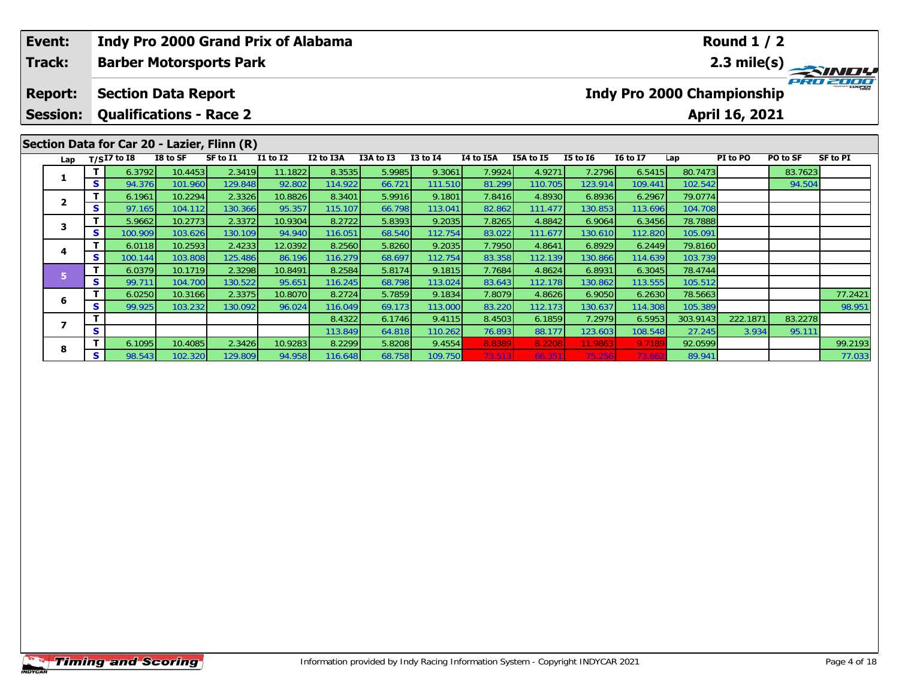|  | Event:<br><b>Track:</b><br><b>Report:</b><br><b>Session:</b><br>Section Data for Car 20 - Lazier, Flinn (R) |        |                            | Indy Pro 2000 Grand Prix of Alabama |                                |          |           |           |                 |           |           |                 |                                   | <b>Round 1/2</b> |                |          |                 |
|--|-------------------------------------------------------------------------------------------------------------|--------|----------------------------|-------------------------------------|--------------------------------|----------|-----------|-----------|-----------------|-----------|-----------|-----------------|-----------------------------------|------------------|----------------|----------|-----------------|
|  |                                                                                                             |        |                            |                                     | <b>Barber Motorsports Park</b> |          |           |           |                 |           |           |                 |                                   |                  |                |          |                 |
|  |                                                                                                             |        | <b>Section Data Report</b> |                                     |                                |          |           |           |                 |           |           |                 | <b>Indy Pro 2000 Championship</b> |                  |                |          | PRO 2000        |
|  |                                                                                                             |        |                            |                                     | <b>Qualifications - Race 2</b> |          |           |           |                 |           |           |                 |                                   |                  | April 16, 2021 |          |                 |
|  |                                                                                                             |        |                            |                                     |                                |          |           |           |                 |           |           |                 |                                   |                  |                |          |                 |
|  |                                                                                                             |        | Lap $T/SI7$ to I8          | I8 to SF                            | SF to I1                       | I1 to I2 | I2 to I3A | I3A to I3 | <b>I3 to I4</b> | I4 to I5A | I5A to I5 | <b>I5 to 16</b> | <b>16 to 17</b>                   | Lap              | PI to PO       | PO to SF | <b>SF to PI</b> |
|  |                                                                                                             |        | 6.3792                     | 10.4453                             | 2.3419                         | 11.1822  | 8.3535    | 5.9985    | 9.3061          | 7.9924    | 4.9271    | 7.2796          | 6.5415                            | 80.7473          |                | 83.7623  |                 |
|  |                                                                                                             | S.     | 94.376                     | 101.960                             | 129.848                        | 92.802   | 114.922   | 66.721    | 111.510         | 81.299    | 110.705   | 123.914         | 109.441                           | 102.542          |                | 94.504   |                 |
|  | $\mathbf{2}$                                                                                                | 6.1961 | 10.2294                    | 2.3326                              | 10.8826                        | 8.3401   | 5.9916    | 9.1801    | 7.8416          | 4.8930    | 6.8936    | 6.2967          | 79.0774                           |                  |                |          |                 |
|  |                                                                                                             | S.     | 97.165                     | 104.112                             | 130.366                        | 95.357   | 115.107   | 66.798    | 113.041         | 82.862    | 111.477   | 130.853         | 113.696                           | 104.708          |                |          |                 |
|  |                                                                                                             |        | 5.9662                     | 10.2773                             | 2.3372                         | 10.9304  | 8.2722    | 5.8393    | 9.2035          | 7.8265    | 4.8842    | 6.9064          | 6.3456                            | 78.7888          |                |          |                 |
|  | 3<br>S.<br>4<br>S.<br>5<br>S.                                                                               |        | 100.909                    | 103.626                             | 130.109                        | 94.940   | 116.051   | 68.540    | 112.754         | 83.022    | 111.677   | 130.610         | 112.820                           | 105.091          |                |          |                 |
|  |                                                                                                             | 6.0118 | 10.2593                    | 2.4233                              | 12.0392                        | 8.2560   | 5.8260    | 9.2035    | 7.7950          | 4.8641    | 6.8929    | 6.2449          | 79.8160                           |                  |                |          |                 |
|  |                                                                                                             |        | 100.144                    | 103.808                             | 125.486                        | 86.196   | 116.279   | 68.697    | 112.754         | 83.358    | 112.139   | 130.866         | 114.639                           | 103.739          |                |          |                 |
|  |                                                                                                             | 6.0379 | 10.1719                    | 2.3298                              | 10.8491                        | 8.2584   | 5.8174    | 9.1815    | 7.7684          | 4.8624    | 6.8931    | 6.3045          | 78.4744                           |                  |                |          |                 |
|  |                                                                                                             | 99.711 | 104.700                    | 130.522                             | 95.651                         | 116.245  | 68.798    | 113.024   | 83.643          | 112.178   | 130.862   | 113.555         | 105.512                           |                  |                |          |                 |
|  | 6                                                                                                           |        | 6.0250                     | 10.3166                             | 2.3375                         | 10.8070  | 8.2724    | 5.7859    | 9.1834          | 7.8079    | 4.8626    | 6.9050          | 6.2630                            | 78.5663          |                |          | 77.2421         |
|  |                                                                                                             | S.     | 99.925                     | 103.232                             | 130.0921                       | 96.024   | 116.049   | 69.173    | 113.000         | 83.220    | 112.173   | 130.637         | 114.308                           | 105.389          |                |          | 98.951          |

**<sup>T</sup>** 8.4322 6.1746 9.4115 8.4503 6.1859 7.2979 6.5953 303.9143 222.1871 83.2278 **<sup>S</sup>** 113.849 64.818 110.262 76.893 88.177 123.603 108.548 27.245 3.934 95.111

8 TI 6.1095 10.4085 2.3426 10.9283 8.2299 5.8208 9.4554 8.8389 8.2208 11.9863 9.7189 92.0599 99.2193<br>IS 98.543 102.320 129.809 94.958 116.648 68.758 109.750 73.513 66.351 75.256 73.662 89.941

**7**

**8**

95.111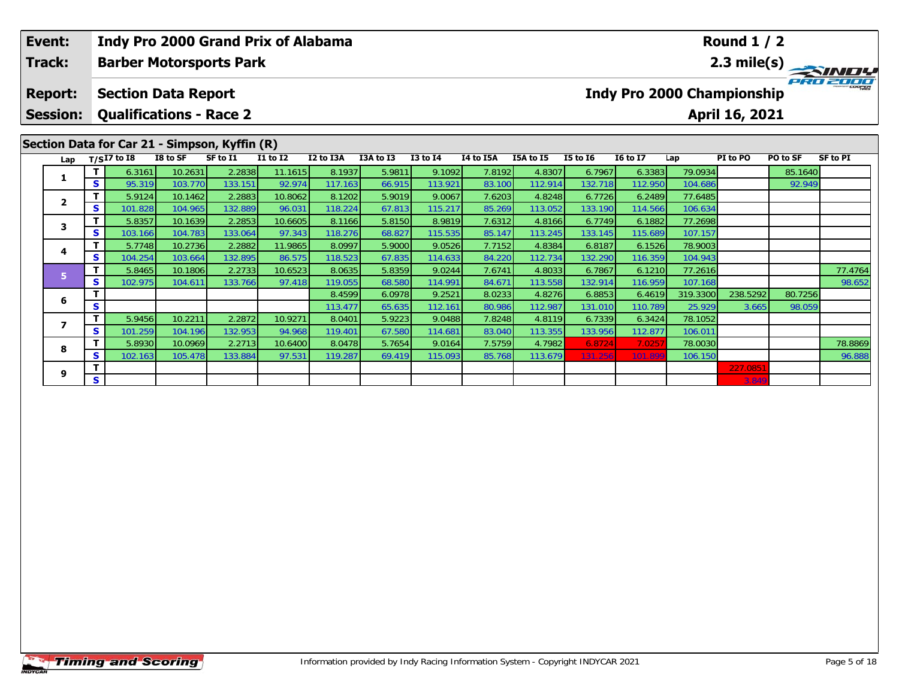| Event:<br>Track:         |        |                                |                    | Indy Pro 2000 Grand Prix of Alabama<br><b>Barber Motorsports Park</b> |                   |                   |                  |                   |                  |                   |                   |                                   |                    | <b>Round 1 / 2</b> |          | 2.3 mile(s)                                               |
|--------------------------|--------|--------------------------------|--------------------|-----------------------------------------------------------------------|-------------------|-------------------|------------------|-------------------|------------------|-------------------|-------------------|-----------------------------------|--------------------|--------------------|----------|-----------------------------------------------------------|
| <b>Report:</b>           |        | <b>Section Data Report</b>     |                    |                                                                       |                   |                   |                  |                   |                  |                   |                   | <b>Indy Pro 2000 Championship</b> |                    |                    |          |                                                           |
| <b>Session:</b>          |        | <b>Qualifications - Race 2</b> |                    |                                                                       |                   |                   |                  |                   |                  |                   |                   |                                   |                    | April 16, 2021     |          |                                                           |
|                          |        |                                |                    | Section Data for Car 21 - Simpson, Kyffin (R)                         |                   |                   |                  |                   |                  |                   |                   |                                   |                    |                    |          |                                                           |
| Lap                      |        | $T/SI7$ to $I8$                | I8 to SF           | SF to I1                                                              | <b>I1 to I2</b>   | I2 to I3A         | I3A to I3        | <b>I3 to I4</b>   | I4 to I5A        | I5A to I5         | <b>I5 to 16</b>   | <b>16 to 17</b>                   | Lap                | PI to PO           | PO to SF |                                                           |
| 1                        | T.     | 6.3161                         | 10.2631            | 2.2838                                                                | 11.1615           | 8.1937            | 5.9811           | 9.1092            | 7.8192           | 4.8307            | 6.7967            | 6.3383                            | 79.0934            |                    | 85.1640  |                                                           |
|                          | S.     | 95.319                         | 103.770            | 133.151                                                               | 92.974            | 117.163           | 66.915           | 113.921           | 83.100           | 112.914           | 132.718           | 112.950                           | 104.686            |                    | 92.949   |                                                           |
| $\mathbf{2}$             | т      | 5.9124                         | 10.1462            | 2.2883                                                                | 10.8062           | 8.1202            | 5.9019           | 9.0067            | 7.6203           | 4.8248            | 6.7726            | 6.2489                            | 77.6485            |                    |          |                                                           |
|                          | S      | 101.828                        | 104.965            | 132.889                                                               | 96.031            | 118.224           | 67.813           | 115.217           | 85.269           | 113.052           | 133.190           | 114.566                           | 106.634            |                    |          |                                                           |
| 3                        |        | 5.8357                         | 10.1639            | 2.2853                                                                | 10.6605           | 8.1166            | 5.8150           | 8.9819            | 7.6312           | 4.8166            | 6.7749            | 6.1882                            | 77.2698            |                    |          |                                                           |
|                          | S.     | 103.166                        | 104.783            | 133.064                                                               | 97.343            | 118.276           | 68.827           | 115.535           | 85.147           | 113.245           | 133.145           | 115.689                           | 107.157            |                    |          |                                                           |
| 4                        |        | 5.7748                         | 10.2736            | 2.2882                                                                | 11.9865<br>86.575 | 8.0997            | 5.9000           | 9.0526            | 7.7152<br>84.220 | 4.8384            | 6.8187            | 6.1526                            | 78.9003            |                    |          |                                                           |
|                          | S<br>т | 104.254                        | 103.664            | 132.895<br>2.2733                                                     | 10.6523           | 118.523           | 67.835<br>5.8359 | 114.633<br>9.0244 | 7.6741           | 112.734           | 132.290<br>6.7867 | 116.359                           | 104.943            |                    |          |                                                           |
| 5                        | S      | 5.8465<br>102.975              | 10.1806<br>104.611 | 133.766                                                               | 97.418            | 8.0635<br>119.055 |                  | 114.991           | 84.671           | 4.8033<br>113.558 |                   | 6.1210<br>116.959                 | 77.2616<br>107.168 |                    |          | <b>SF to PI</b><br>77.4764<br>98.652<br>78.8869<br>96.888 |
|                          |        |                                |                    |                                                                       |                   | 8.4599            | 68.580<br>6.0978 | 9.2521            | 8.0233           | 4.8276            | 132.914<br>6.8853 | 6.4619                            | 319.3300           | 238.5292           | 80.7256  |                                                           |
| 6                        | S      |                                |                    |                                                                       |                   | 113.477           | 65.635           | 112.161           | 80.986           | 112.987           | 131.010           | 110.789                           | 25.929             | 3.665              | 98.059   |                                                           |
|                          | т      | 5.9456                         | 10.2211            | 2.2872                                                                | 10.9271           | 8.0401            | 5.9223           | 9.0488            | 7.8248           | 4.8119            | 6.7339            | 6.3424                            | 78.1052            |                    |          |                                                           |
| $\overline{\phantom{a}}$ | S.     | 101.259                        | 104.196            | 132.953                                                               | 94.968            | 119.401           | 67.580           | 114.681           | 83.040           | 113.355           | 133.956           | 112.877                           | 106.011            |                    |          |                                                           |
|                          |        | 5.8930                         | 10.0969            | 2.2713                                                                | 10.6400           | 8.0478            | 5.7654           | 9.0164            | 7.5759           | 4.7982            | 6.8724            | 7.025                             | 78.0030            |                    |          |                                                           |
| 8                        | s      | 102.163                        | 105.478            | 133.884                                                               | 97.531            | 119.287           | 69.419           | 115.093           | 85.768           | 113.679           | 131.256           | 101.899                           | 106.150            |                    |          |                                                           |
|                          |        |                                |                    |                                                                       |                   |                   |                  |                   |                  |                   |                   |                                   |                    | 227.0851           |          |                                                           |
| 9                        | S      |                                |                    |                                                                       |                   |                   |                  |                   |                  |                   |                   |                                   |                    |                    |          |                                                           |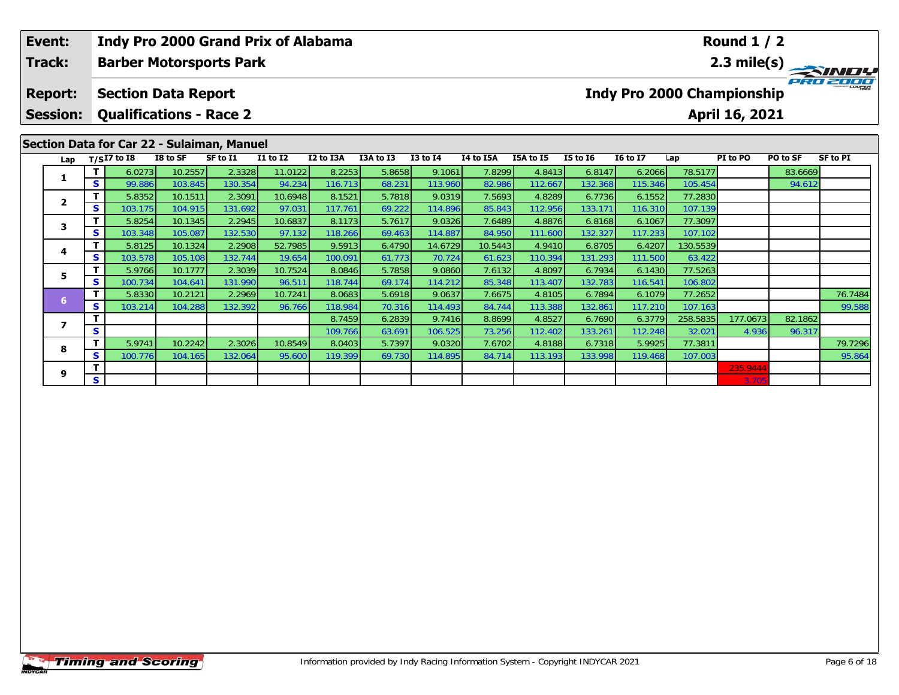|  | Event:<br>Track: |          | <b>Indy Pro 2000 Grand Prix of Alabama</b><br><b>Barber Motorsports Park</b> |                    |                   |                   |                   |                  |                   |                   |                   |                   |                   |                   | <b>Round 1 / 2</b>                |          | 2.3 mile(s)     |
|--|------------------|----------|------------------------------------------------------------------------------|--------------------|-------------------|-------------------|-------------------|------------------|-------------------|-------------------|-------------------|-------------------|-------------------|-------------------|-----------------------------------|----------|-----------------|
|  | <b>Report:</b>   |          | <b>Section Data Report</b>                                                   |                    |                   |                   |                   |                  |                   |                   |                   |                   |                   |                   | <b>Indy Pro 2000 Championship</b> |          |                 |
|  | <b>Session:</b>  |          | <b>Qualifications - Race 2</b>                                               |                    |                   |                   |                   |                  |                   |                   |                   |                   |                   |                   | April 16, 2021                    |          |                 |
|  |                  |          | Section Data for Car 22 - Sulaiman, Manuel                                   |                    |                   |                   |                   |                  |                   |                   |                   |                   |                   |                   |                                   |          |                 |
|  | Lap              |          | $T/SI7$ to I8                                                                | I8 to SF           | SF to I1          | <b>I1 to I2</b>   | I2 to I3A         | I3A to I3        | <b>I3 to I4</b>   | I4 to I5A         | I5A to I5         | <b>I5 to 16</b>   | <b>16 to 17</b>   | Lap               | PI to PO                          | PO to SF | <b>SF to PI</b> |
|  |                  |          | 6.0273                                                                       | 10.2557            | 2.3328            | 11.0122           | 8.2253            | 5.8658           | 9.1061            | 7.8299            | 4.8413            | 6.8147            | 6.2066            | 78.5177           |                                   | 83.6669  |                 |
|  |                  | S.       | 99.886                                                                       | 103.845            | 130.354           | 94.234            | 116.713           | 68.231           | 113.960           | 82.986            | 112.667           | 132.368           | 115.346           | 105.454           |                                   | 94.612   |                 |
|  | $\mathbf{2}$     |          | 5.8352                                                                       | 10.1511            | 2.3091            | 10.6948           | 8.1521            | 5.7818           | 9.0319            | 7.5693            | 4.8289            | 6.7736            | 6.1552            | 77.2830           |                                   |          |                 |
|  |                  | <b>S</b> | 103.175                                                                      | 104.915            | 131.692           | 97.031            | 117.761           | 69.222           | 114.896           | 85.843            | 112.956           | 133.171           | 116.310           | 107.139           |                                   |          |                 |
|  | 3                |          | 5.8254                                                                       | 10.1345            | 2.2945            | 10.6837           | 8.1173            | 5.7617           | 9.0326            | 7.6489            | 4.8876            | 6.8168            | 6.1067            | 77.3097           |                                   |          |                 |
|  |                  | S.       | 103.348                                                                      | 105.087            | 132.530           | 97.132            | 118.266           | 69.463           | 114.887           | 84.950            | 111.600           | 132.327           | 117.233           | 107.102           |                                   |          |                 |
|  | 4                |          | 5.8125<br>103.578                                                            | 10.1324            | 2.2908<br>132.744 | 52.7985<br>19.654 | 9.5913<br>100.091 | 6.4790           | 14.6729<br>70.724 | 10.5443<br>61.623 | 4.9410<br>110.394 | 6.8705            | 6.4207            | 130.5539          |                                   |          |                 |
|  | Τ.<br>S.<br>5    |          | 5.9766                                                                       | 105.108<br>10.1777 | 2.3039            | 10.7524           | 8.0846            | 61.773<br>5.7858 | 9.0860            | 7.6132            | 4.8097            | 131.293<br>6.7934 | 111.500<br>6.1430 | 63.422<br>77.5263 |                                   |          |                 |
|  |                  | s        | 100.734                                                                      | 104.641            | 131.990           | 96.511            | 118.744           | 69.174           | 114.212           | 85.348            | 113.407           | 132.783           | 116.541           | 106.802           |                                   |          |                 |
|  |                  |          | 5.8330                                                                       | 10.2121            | 2.2969            | 10.7241           | 8.0683            | 5.6918           | 9.0637            | 7.6675            | 4.8105            | 6.7894            | 6.1079            | 77.2652           |                                   |          | 76.7484         |
|  | 6                | S.       | 103.214                                                                      | 104.288            | 132.392           | 96.766            | 118.984           | 70.316           | 114.493           | 84.744            | 113.388           | 132.861           | 117.210           | 107.163           |                                   |          | 99.588          |
|  |                  |          |                                                                              |                    |                   |                   | 8.7459            | 6.2839           | 9.7416            | 8.8699            | 4.8527            | 6.7690            | 6.3779            | 258.5835          | 177.0673                          | 82.1862  |                 |
|  | 7                | S        |                                                                              |                    |                   |                   | 109.766           | 63.691           | 106.525           | 73.256            | 112.402           | 133.261           | 112.248           | 32.021            | 4.936                             | 96.317   |                 |
|  |                  |          | 5.9741                                                                       | 10.2242            | 2.3026            | 10.8549           | 8.0403            | 5.7397           | 9.0320            | 7.6702            | 4.8188            | 6.7318            | 5.9925            | 77.3811           |                                   |          | 79.7296         |
|  | 8                | S.       | 100.776                                                                      | 104.165            | 132.064           | 95.600            | 119.399           | 69.730           | 114.895           | 84.714            | 113.193           | 133.998           | 119.468           | 107.003           |                                   |          | 95.864          |

**<sup>T</sup>** 235.9444 **<sup>S</sup>** 3.705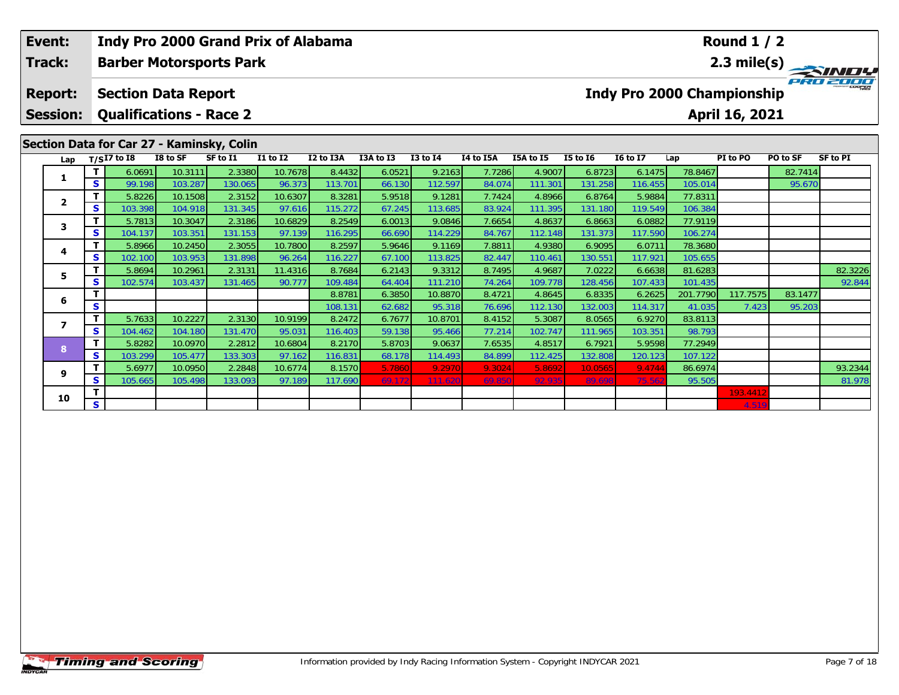| Event:                            |          | <b>Indy Pro 2000 Grand Prix of Alabama</b>                   |                    |                   |                   |                   |                  |                   |                  |                   |                   |                                   |                    | <b>Round 1 / 2</b>    |          |                 |
|-----------------------------------|----------|--------------------------------------------------------------|--------------------|-------------------|-------------------|-------------------|------------------|-------------------|------------------|-------------------|-------------------|-----------------------------------|--------------------|-----------------------|----------|-----------------|
| Track:                            |          | <b>Barber Motorsports Park</b>                               |                    |                   |                   |                   |                  |                   |                  |                   |                   |                                   |                    |                       |          | 2.3 mile(s)     |
| <b>Report:</b><br><b>Session:</b> |          | <b>Section Data Report</b><br><b>Qualifications - Race 2</b> |                    |                   |                   |                   |                  |                   |                  |                   |                   | <b>Indy Pro 2000 Championship</b> |                    | <b>April 16, 2021</b> |          |                 |
|                                   |          | Section Data for Car 27 - Kaminsky, Colin                    |                    |                   |                   |                   |                  |                   |                  |                   |                   |                                   |                    |                       |          |                 |
|                                   |          | Lap $T/SI7$ to I8                                            | I8 to SF           | SF to I1          | <b>I1 to I2</b>   | I2 to I3A         | I3A to I3        | <b>I3 to I4</b>   | I4 to I5A        | I5A to I5         | <b>I5 to 16</b>   | <b>I6 to I7</b>                   | Lap                | PI to PO              | PO to SF | <b>SF to PI</b> |
| 1                                 | T.       | 6.0691                                                       | 10.3111            | 2.3380            | 10.7678           | 8.4432            | 6.0521           | 9.2163            | 7.7286           | 4.9007            | 6.8723            | 6.1475                            | 78.8467            |                       | 82.7414  |                 |
|                                   | S.       | 99.198                                                       | 103.287            | 130.065           | 96.373            | 113.701           | 66.130           | 112.597           | 84.074           | 111.301           | 131.258           | 116.455                           | 105.014            |                       | 95.670   |                 |
| $\mathbf{2}$                      | T.       | 5.8226                                                       | 10.1508            | 2.3152            | 10.6307           | 8.3281            | 5.9518           | 9.1281            | 7.7424           | 4.8966            | 6.8764            | 5.9884                            | 77.8311            |                       |          |                 |
|                                   | S        | 103.398                                                      | 104.918            | 131.345           | 97.616            | 115.272           | 67.245           | 113.685           | 83.924           | 111.395           | 131.180           | 119.549                           | 106.384            |                       |          |                 |
| 3                                 | T.       | 5.7813                                                       | 10.3047            | 2.3186            | 10.6829           | 8.2549            | 6.0013           | 9.0846            | 7.6654           | 4.8637            | 6.8663            | 6.0882                            | 77.9119            |                       |          |                 |
|                                   | S        | 104.137<br>5.8966                                            | 103.351<br>10.2450 | 131.153<br>2.3055 | 97.139<br>10.7800 | 116.295<br>8.2597 | 66.690<br>5.9646 | 114.229<br>9.1169 | 84.767<br>7.8811 | 112.148<br>4.9380 | 131.373<br>6.9095 | 117.590<br>6.0711                 | 106.274<br>78.3680 |                       |          |                 |
| 4                                 | S.       | 102.100                                                      | 103.953            | 131.898           | 96.264            | 116.227           | 67.100           | 113.825           | 82.447           | 110.461           | 130.551           | 117.921                           | 105.655            |                       |          |                 |
|                                   | т        | 5.8694                                                       | 10.2961            | 2.3131            | 11.4316           | 8.7684            | 6.2143           | 9.3312            | 8.7495           | 4.9687            | 7.0222            | 6.6638                            | 81.6283            |                       |          | 82.3226         |
| 5.                                | S.       | 102.574                                                      | 103.437            | 131.465           | 90.777            | 109.484           | 64.404           | 111.210           | 74.264           | 109.778           | 128.456           | 107.433                           | 101.435            |                       |          | 92.844          |
|                                   |          |                                                              |                    |                   |                   | 8.8781            | 6.3850           | 10.8870           | 8.4721           | 4.8645            | 6.8335            | 6.2625                            | 201.7790           | 117.7575              | 83.1477  |                 |
| 6                                 | S        |                                                              |                    |                   |                   | 108.131           | 62.682           | 95.318            | 76.696           | 112.130           | 132.003           | 114.317                           | 41.035             | 7.423                 | 95.203   |                 |
|                                   | T.       | 5.7633                                                       | 10.2227            | 2.3130            | 10.9199           | 8.2472            | 6.7677           | 10.8701           | 8.4152           | 5.3087            | 8.0565            | 6.9270                            | 83.8113            |                       |          |                 |
| $\overline{\phantom{a}}$          | S.       | 104.462                                                      | 104.180            | 131.470           | 95.031            | 116.403           | 59.138           | 95.466            | 77.214           | 102.747           | 111.965           | 103.351                           | 98.793             |                       |          |                 |
|                                   | T        | 5.8282                                                       | 10.0970            | 2.2812            | 10.6804           | 8.2170            | 5.8703           | 9.0637            | 7.6535           | 4.8517            | 6.7921            | 5.9598                            | 77.2949            |                       |          |                 |
| 8                                 | <b>S</b> | 103.299                                                      | 105.477            | 133.303           | 97.162            | 116.831           | 68.178           | 114.493           | 84.899           | 112.425           | 132.808           | 120.123                           | 107.122            |                       |          |                 |
|                                   | т        | 5.6977                                                       | 10.0950            | 2.2848            | 10.6774           | 8.1570            | 5.7860           | 9.2970            | 9.3024           | 5.8692            | 10.0565           | 9.4744                            | 86.6974            |                       |          | 93.2344         |
| 9                                 | S        | 105.665                                                      | 105.498            | 133.093           | 97.189            | 117.690           | 69.172           | 111.620           | 69.850           | 92.935            | 89.698            | 75.56                             | 95.505             |                       |          | 81.978          |
| 10                                |          |                                                              |                    |                   |                   |                   |                  |                   |                  |                   |                   |                                   |                    | 193.4412              |          |                 |
|                                   | S.       |                                                              |                    |                   |                   |                   |                  |                   |                  |                   |                   |                                   |                    | 4.519                 |          |                 |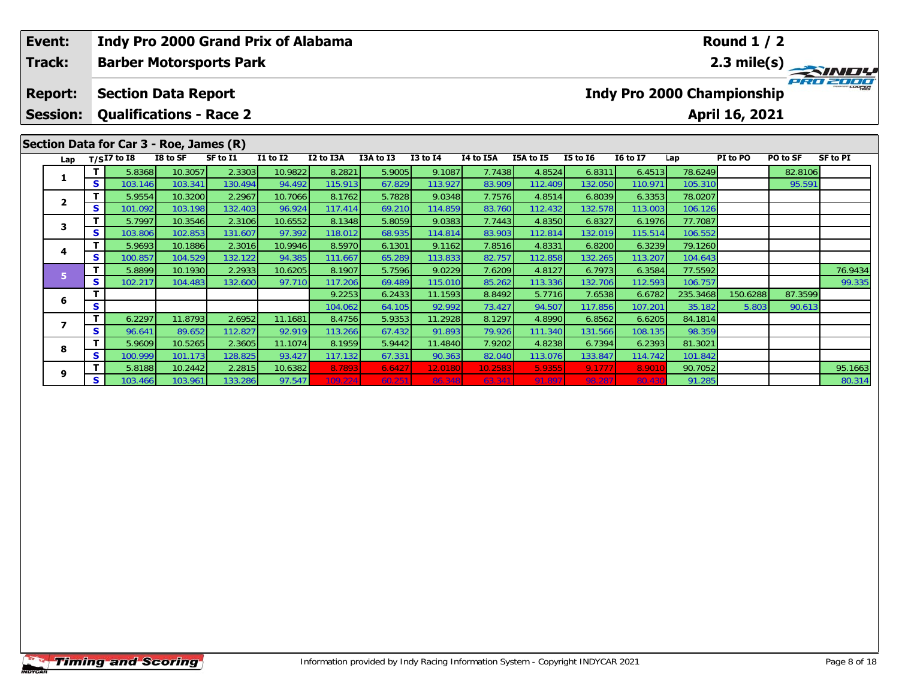| Event:          |    |                                         |                    |                                | <b>Indy Pro 2000 Grand Prix of Alabama</b> |                   |                  |                   |                  |                   |                   |                                   |                    | <b>Round 1 / 2</b> |          |             |
|-----------------|----|-----------------------------------------|--------------------|--------------------------------|--------------------------------------------|-------------------|------------------|-------------------|------------------|-------------------|-------------------|-----------------------------------|--------------------|--------------------|----------|-------------|
| Track:          |    |                                         |                    | <b>Barber Motorsports Park</b> |                                            |                   |                  |                   |                  |                   |                   |                                   |                    |                    |          | 2.3 mile(s) |
| <b>Report:</b>  |    | <b>Section Data Report</b>              |                    |                                |                                            |                   |                  |                   |                  |                   |                   | <b>Indy Pro 2000 Championship</b> |                    |                    |          |             |
| <b>Session:</b> |    | <b>Qualifications - Race 2</b>          |                    |                                |                                            |                   |                  |                   |                  |                   |                   |                                   |                    | April 16, 2021     |          |             |
|                 |    | Section Data for Car 3 - Roe, James (R) |                    |                                |                                            |                   |                  |                   |                  |                   |                   |                                   |                    |                    |          |             |
| Lap             |    | $T/SI7$ to I8                           | I8 to SF           | SF to I1                       | I1 to I2                                   | I2 to I3A         | I3A to I3        | $I3$ to $I4$      | I4 to I5A        | I5A to I5         | <b>I5 to 16</b>   | <b>16 to 17</b>                   | Lap                | PI to PO           | PO to SF | SF to PI    |
| 1               | s  | 5.8368                                  | 10.3057            | 2.3303                         | 10.9822<br>94.492                          | 8.2821            | 5.9005           | 9.1087            | 7.7438<br>83.909 | 4.8524            | 6.8311            | 6.4513                            | 78.6249            |                    | 82.8106  |             |
|                 |    | 103.146<br>5.9554                       | 103.341<br>10.3200 | 130.494<br>2.2967              | 10.7066                                    | 115.913<br>8.1762 | 67.829<br>5.7828 | 113.927<br>9.0348 | 7.7576           | 112.409<br>4.8514 | 132.050<br>6.8039 | 110.971<br>6.3353                 | 105.310<br>78.0207 |                    | 95.591   |             |
| $\overline{2}$  | S. | 101.092                                 | 103.198            | 132.403                        | 96.924                                     | 117.414           | 69.210           | 114.859           | 83.760           | 112.432           | 132.578           | 113.003                           | 106.126            |                    |          |             |
|                 | T. | 5.7997                                  | 10.3546            | 2.3106                         | 10.6552                                    | 8.1348            | 5.8059           | 9.0383            | 7.7443           | 4.8350            | 6.8327            | 6.1976                            | 77.7087            |                    |          |             |
| 3               | s  | 103.806                                 | 102.853            | 131.607                        | 97.392                                     | 118.012           | 68.935           | 114.814           | 83.903           | 112.814           | 132.019           | 115.514                           | 106.552            |                    |          |             |
|                 |    | 5.9693                                  | 10.1886            | 2.3016                         | 10.9946                                    | 8.5970            | 6.1301           | 9.1162            | 7.8516           | 4.8331            | 6.8200            | 6.3239                            | 79.1260            |                    |          |             |
| 4               | s  | 100.857                                 | 104.529            | 132.122                        | 94.385                                     | 111.667           | 65.289           | 113.833           | 82.757           | 112.858           | 132.265           | 113.207                           | 104.643            |                    |          |             |
| 5               | T. | 5.8899                                  | 10.1930            | 2.2933                         | 10.6205                                    | 8.1907            | 5.7596           | 9.0229            | 7.6209           | 4.8127            | 6.7973            | 6.3584                            | 77.5592            |                    |          | 76.9434     |
|                 | s  | 102.217                                 | 104.483            | 132.600                        | 97.710                                     | 117.206           | 69.489           | 115.010           | 85.262           | 113.336           | 132.706           | 112.593                           | 106.757            |                    |          | 99.335      |
| 6               |    |                                         |                    |                                |                                            | 9.2253            | 6.2433           | 11.1593           | 8.8492           | 5.7716            | 7.6538            | 6.6782                            | 235.3468           | 150.6288           | 87.3599  |             |
|                 | S  |                                         |                    |                                |                                            | 104.062           | 64.105           | 92.992            | 73.427           | 94.507            | 117.856           | 107.201                           | 35.182             | 5.803              | 90.613   |             |
| 7               | T  | 6.2297                                  | 11.8793            | 2.6952                         | 11.1681                                    | 8.4756            | 5.9353           | 11.2928           | 8.1297           | 4.8990            | 6.8562            | 6.6205                            | 84.1814            |                    |          |             |
|                 | S. | 96.641                                  | 89.652             | 112.827                        | 92.919                                     | 113.266           | 67.432           | 91.893            | 79.926           | 111.340           | 131.566           | 108.135                           | 98.359             |                    |          |             |
| 8               |    | 5.9609                                  | 10.5265            | 2.3605                         | 11.1074                                    | 8.1959            | 5.9442           | 11.4840           | 7.9202           | 4.8238            | 6.7394            | 6.2393                            | 81.3021            |                    |          |             |
|                 | S. | 100.999                                 | 101.173            | 128.825                        | 93.427                                     | 117.132           | 67.331           | 90.363            | 82.040           | 113.076           | 133.847           | 114.742                           | 101.842            |                    |          |             |

9 T 5.8188 10.2442 2.2815 10.6382 8.7893 6.6427 12.0180 10.2583 5.9355 9.1777 8.9010 90.7052 95.1663<br>IS 103.466 103.961 133.286 97.547 109.224 60.251 86.348 63.341 91.897 98.287 80.430 91.285 8

**9**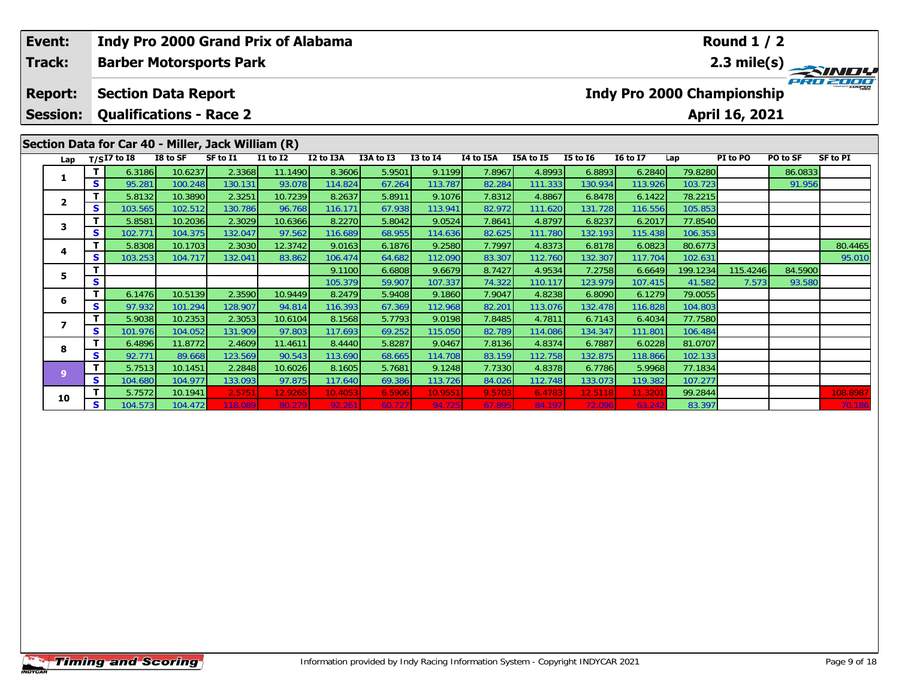| Event:                            |          |                                                              |                    |                   | <b>Indy Pro 2000 Grand Prix of Alabama</b> |                   |                  |                   |                  |                   |                   |                   |                    | <b>Round 1 / 2</b>                           |          |                    |
|-----------------------------------|----------|--------------------------------------------------------------|--------------------|-------------------|--------------------------------------------|-------------------|------------------|-------------------|------------------|-------------------|-------------------|-------------------|--------------------|----------------------------------------------|----------|--------------------|
| <b>Track:</b>                     |          | <b>Barber Motorsports Park</b>                               |                    |                   |                                            |                   |                  |                   |                  |                   |                   |                   |                    |                                              |          | 2.3 mile(s)        |
| <b>Report:</b><br><b>Session:</b> |          | <b>Section Data Report</b><br><b>Qualifications - Race 2</b> |                    |                   |                                            |                   |                  |                   |                  |                   |                   |                   |                    | Indy Pro 2000 Championship<br>April 16, 2021 |          |                    |
|                                   |          | Section Data for Car 40 - Miller, Jack William (R)           |                    |                   |                                            |                   |                  |                   |                  |                   |                   |                   |                    |                                              |          |                    |
| Lap                               |          | $T/SI7$ to I8                                                | I8 to SF           | SF to I1          | <b>I1 to I2</b>                            | I2 to I3A         | I3A to I3        | $I3$ to $I4$      | I4 to I5A        | I5A to I5         | <b>I5 to 16</b>   | <b>I6 to I7</b>   | Lap                | PI to PO                                     | PO to SF | <b>SF to PI</b>    |
| 1.                                |          | 6.3186                                                       | 10.6237            | 2.3368            | 11.1490                                    | 8.3606            | 5.9501           | 9.1199            | 7.8967           | 4.8993            | 6.8893            | 6.2840            | 79.8280            |                                              | 86.0833  |                    |
|                                   | S        | 95.281                                                       | 100.248            | 130.131           | 93.078                                     | 114.824           | 67.264           | 113.787           | 82.284           | 111.333           | 130.934           | 113.926           | 103.723            |                                              | 91.956   |                    |
| $\mathbf{2}$                      | <b>S</b> | 5.8132<br>103.565                                            | 10.3890<br>102.512 | 2.3251<br>130.786 | 10.7239<br>96.768                          | 8.2637<br>116.171 | 5.8911<br>67.938 | 9.1076<br>113.941 | 7.8312<br>82.972 | 4.8867<br>111.620 | 6.8478<br>131.728 | 6.1422<br>116.556 | 78.2215<br>105.853 |                                              |          |                    |
|                                   |          | 5.8581                                                       | 10.2036            | 2.3029            | 10.6366                                    | 8.2270            | 5.8042           | 9.0524            | 7.8641           | 4.8797            | 6.8237            | 6.2017            | 77.8540            |                                              |          |                    |
| 3.                                | S        | 102.771                                                      | 104.375            | 132.047           | 97.562                                     | 116.689           | 68.955           | 114.636           | 82.625           | 111.780           | 132.193           | 115.438           | 106.353            |                                              |          |                    |
|                                   |          | 5.8308                                                       | 10.1703            | 2.3030            | 12.3742                                    | 9.0163            | 6.1876           | 9.2580            | 7.7997           | 4.8373            | 6.8178            | 6.0823            | 80.6773            |                                              |          | 80.4465            |
| 4                                 | S        | 103.253                                                      | 104.717            | 132.041           | 83.862                                     | 106.474           | 64.682           | 112.090           | 83.307           | 112.760           | 132.307           | 117.704           | 102.631            |                                              |          | 95.010             |
|                                   |          |                                                              |                    |                   |                                            | 9.1100            | 6.6808           | 9.6679            | 8.7427           | 4.9534            | 7.2758            | 6.6649            | 199.1234           | 115.4246                                     | 84.5900  |                    |
| 5.                                | S        |                                                              |                    |                   |                                            | 105.379           | 59.907           | 107.337           | 74.322           | 110.117           | 123.979           | 107.415           | 41.582             | 7.573                                        | 93.580   |                    |
| 6                                 |          | 6.1476                                                       | 10.5139            | 2.3590            | 10.9449                                    | 8.2479            | 5.9408           | 9.1860            | 7.9047           | 4.8238            | 6.8090            | 6.1279            | 79.0055            |                                              |          |                    |
|                                   | S        | 97.932                                                       | 101.294            | 128.907           | 94.814                                     | 116.393           | 67.369           | 112.968           | 82.201           | 113.076           | 132.478           | 116.828           | 104.803            |                                              |          |                    |
| $\overline{\mathbf{z}}$           | т        | 5.9038                                                       | 10.2353            | 2.3053            | 10.6104                                    | 8.1568            | 5.7793           | 9.0198            | 7.8485           | 4.7811            | 6.7143            | 6.4034            | 77.7580            |                                              |          |                    |
|                                   | S        | 101.976                                                      | 104.052            | 131.909           | 97.803                                     | 117.693           | 69.252           | 115.050           | 82.789           | 114.086           | 134.347           | 111.801           | 106.484            |                                              |          |                    |
| 8                                 |          | 6.4896                                                       | 11.8772            | 2.4609            | 11.4611                                    | 8.4440            | 5.8287           | 9.0467            | 7.8136           | 4.8374            | 6.7887            | 6.0228            | 81.0707            |                                              |          |                    |
|                                   | S        | 92.771                                                       | 89.668             | 123.569           | 90.543                                     | 113.690           | 68.665           | 114.708           | 83.159           | 112.758           | 132.875           | 118.866           | 102.133            |                                              |          |                    |
| 9                                 |          | 5.7513                                                       | 10.1451            | 2.2848            | 10.6026                                    | 8.1605            | 5.7681           | 9.1248            | 7.7330           | 4.8378            | 6.7786            | 5.9968            | 77.1834            |                                              |          |                    |
|                                   | S        | 104.680                                                      | 104.977            | 133.093           | 97.875                                     | 117.640           | 69.386           | 113.726           | 84.026           | 112.748           | 133.073           | 119.382           | 107.277            |                                              |          |                    |
| 10                                | s.       | 5.7572<br>104.573                                            | 10.1941<br>104.472 | 2.575'<br>118.089 | 12.9265<br>80.279                          | 10.4053<br>92.261 | 6.5906<br>60.727 | 10.9551<br>94.725 | 9.5703<br>67.895 | 6.4783<br>84.197  | 12.5118<br>72.096 | 11.320<br>63.24   | 99.2844<br>83.397  |                                              |          | 108.8987<br>70.186 |
|                                   |          |                                                              |                    |                   |                                            |                   |                  |                   |                  |                   |                   |                   |                    |                                              |          |                    |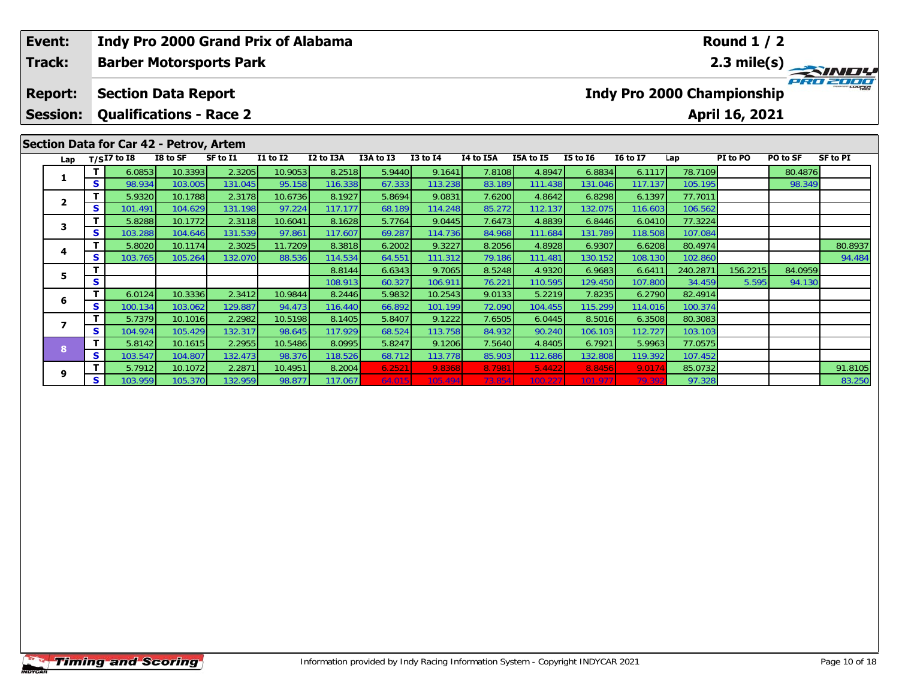| Event:          |          |               |                                         | <b>Indy Pro 2000 Grand Prix of Alabama</b> |                 |           |           |                 |           |           |                 |                                   |          | <b>Round 1 / 2</b> |          |                                        |
|-----------------|----------|---------------|-----------------------------------------|--------------------------------------------|-----------------|-----------|-----------|-----------------|-----------|-----------|-----------------|-----------------------------------|----------|--------------------|----------|----------------------------------------|
| Track:          |          |               |                                         | <b>Barber Motorsports Park</b>             |                 |           |           |                 |           |           |                 |                                   |          |                    |          | $\frac{2.3 \text{ mile(s)}}{P_{R0}^2}$ |
| <b>Report:</b>  |          |               | <b>Section Data Report</b>              |                                            |                 |           |           |                 |           |           |                 | <b>Indy Pro 2000 Championship</b> |          |                    |          |                                        |
| <b>Session:</b> |          |               |                                         | <b>Qualifications - Race 2</b>             |                 |           |           |                 |           |           |                 |                                   |          | April 16, 2021     |          |                                        |
|                 |          |               | Section Data for Car 42 - Petrov, Artem |                                            |                 |           |           |                 |           |           |                 |                                   |          |                    |          |                                        |
| Lap             |          | $T/SI7$ to I8 | I8 to SF                                | SF to I1                                   | <b>I1 to I2</b> | I2 to I3A | I3A to I3 | <b>I3 to I4</b> | I4 to I5A | I5A to I5 | <b>I5 to 16</b> | <b>16 to 17</b>                   | Lap      | PI to PO           | PO to SF | <b>SF to PI</b>                        |
| 1               |          | 6.0853        | 10.3393                                 | 2.3205                                     | 10.9053         | 8.2518    | 5.9440    | 9.1641          | 7.8108    | 4.8947    | 6.8834          | 6.1117                            | 78.7109  |                    | 80.4876  |                                        |
|                 | S        | 98.934        | 103.005                                 | 131.045                                    | 95.158          | 116.338   | 67.333    | 113.238         | 83.189    | 111.438   | 131.046         | 117.137                           | 105.195  |                    | 98.349   |                                        |
| $\mathbf{2}$    |          | 5.9320        | 10.1788                                 | 2.3178                                     | 10.6736         | 8.1927    | 5.8694    | 9.0831          | 7.6200    | 4.8642    | 6.8298          | 6.1397                            | 77.7011  |                    |          |                                        |
|                 | S.       | 101.491       | 104.629                                 | 131.198                                    | 97.224          | 117.177   | 68.189    | 114.248         | 85.272    | 112.137   | 132.075         | 116.603                           | 106.562  |                    |          |                                        |
| 3               |          | 5.8288        | 10.1772                                 | 2.3118                                     | 10.6041         | 8.1628    | 5.7764    | 9.0445          | 7.6473    | 4.8839    | 6.8446          | 6.0410                            | 77.3224  |                    |          |                                        |
|                 | s.       | 103.288       | 104.646                                 | 131.539                                    | 97.861          | 117.607   | 69.287    | 114.736         | 84.968    | 111.684   | 131.789         | 118.508                           | 107.084  |                    |          |                                        |
| 4               |          | 5.8020        | 10.1174                                 | 2.3025                                     | 11.7209         | 8.3818    | 6.2002    | 9.3227          | 8.2056    | 4.8928    | 6.9307          | 6.6208                            | 80.4974  |                    |          | 80.8937                                |
|                 |          | 103.765       | 105.264                                 | 132.070                                    | 88.536          | 114.534   | 64.551    | 111.312         | 79.186    | 111.481   | 130.152         | 108.130                           | 102.860  |                    |          | 94.484                                 |
| s.<br>5         |          |               |                                         |                                            | 8.8144          | 6.6343    | 9.7065    | 8.5248          | 4.9320    | 6.9683    | 6.6411          | 240.2871                          | 156.2215 | 84.0959            |          |                                        |
|                 | S        |               |                                         |                                            |                 | 108.913   | 60.327    | 106.911         | 76.221    | 110.595   | 129.450         | 107.800                           | 34.459   | 5.595              | 94.130   |                                        |
| 6               | T.       | 6.0124        | 10.3336                                 | 2.3412                                     | 10.9844         | 8.2446    | 5.9832    | 10.2543         | 9.0133    | 5.2219    | 7.8235          | 6.2790                            | 82.4914  |                    |          |                                        |
|                 | S.       | 100.134       | 103.062                                 | 129.887                                    | 94.473          | 116.440   | 66.892    | 101.199         | 72.090    | 104.455   | 115.299         | 114.016                           | 100.374  |                    |          |                                        |
|                 |          | 5.7379        | 10.1016                                 | 2.2982                                     | 10.5198         | 8.1405    | 5.8407    | 9.1222          | 7.6505    | 6.0445    | 8.5016          | 6.3508                            | 80.3083  |                    |          |                                        |
|                 | <b>S</b> | 104.924       | 105.429                                 | 132.317                                    | 98.645          | 117.929   | 68.524    | 113.758         | 84.932    | 90.240    | 106.103         | 112.727                           | 103.103  |                    |          |                                        |

**<sup>T</sup>** 5.7912 10.1072 2.2871 10.4951 8.2004 6.2521 9.8368 8.7981 5.4422 8.8456 9.0174 85.0732 91.8105 **<sup>S</sup>** 103.959 105.370 132.959 98.877 117.067 64.015 105.494 73.854 100.227 101.977 79.392 97.328 83.250

**<sup>T</sup>** 5.8142 10.1615 2.2955 10.5486 8.0995 5.8247 9.1206 7.5640 4.8405 6.7921 5.9963 77.0575 **<sup>S</sup>** 103.547 104.807 132.473 98.376 118.526 68.712 113.778 85.903 112.686 132.808 119.392 107.452

**8**

**9**

83.250

77.0575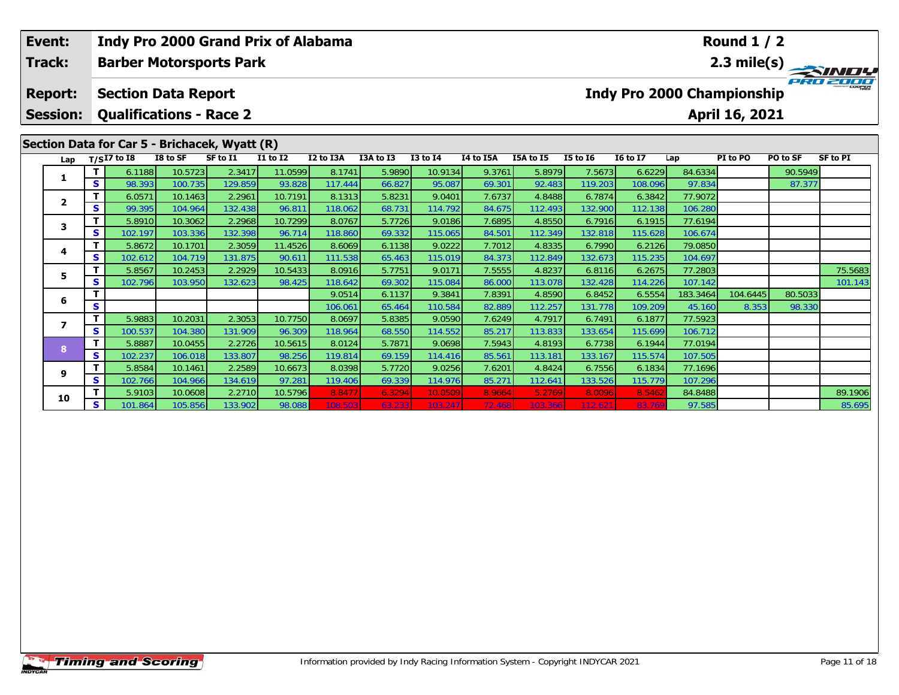| Event:                            |   | <b>Indy Pro 2000 Grand Prix of Alabama</b>                   |                    |                   |                   |                   |                  |                   |                  |                   |                   |                                   |                    | <b>Round 1 / 2</b> |          |                 |
|-----------------------------------|---|--------------------------------------------------------------|--------------------|-------------------|-------------------|-------------------|------------------|-------------------|------------------|-------------------|-------------------|-----------------------------------|--------------------|--------------------|----------|-----------------|
| Track:                            |   | <b>Barber Motorsports Park</b>                               |                    |                   |                   |                   |                  |                   |                  |                   |                   |                                   |                    |                    |          | 2.3 mile(s)     |
| <b>Report:</b><br><b>Session:</b> |   | <b>Section Data Report</b><br><b>Qualifications - Race 2</b> |                    |                   |                   |                   |                  |                   |                  |                   |                   | <b>Indy Pro 2000 Championship</b> |                    | April 16, 2021     |          |                 |
|                                   |   | Section Data for Car 5 - Brichacek, Wyatt (R)                |                    |                   |                   |                   |                  |                   |                  |                   |                   |                                   |                    |                    |          |                 |
| Lap                               |   | $T/SI7$ to $\overline{18}$                                   | I8 to SF           | SF to I1          | <b>I1 to I2</b>   | I2 to I3A         | I3A to I3        | <b>I3 to I4</b>   | I4 to I5A        | I5A to I5         | <b>I5 to 16</b>   | <b>16 to 17</b>                   | Lap                | PI to PO           | PO to SF | <b>SF to PI</b> |
| 1                                 |   | 6.1188                                                       | 10.5723            | 2.3417            | 11.0599           | 8.1741            | 5.9890           | 10.9134           | 9.3761           | 5.8979            | 7.5673            | 6.6229                            | 84.6334            |                    | 90.5949  |                 |
|                                   | S | 98.393                                                       | 100.735            | 129.859           | 93.828            | 117.444           | 66.827           | 95.087            | 69.301           | 92.483            | 119.203           | 108.096                           | 97.834             |                    | 87.377   |                 |
| 2                                 |   | 6.0571                                                       | 10.1463            | 2.2961            | 10.7191           | 8.1313            | 5.8231           | 9.0401            | 7.6737           | 4.8488            | 6.7874            | 6.3842                            | 77.9072            |                    |          |                 |
|                                   | S | 99.395                                                       | 104.964            | 132.438           | 96.811            | 118.062           | 68.731           | 114.792           | 84.675           | 112.493           | 132.900           | 112.138                           | 106.280            |                    |          |                 |
| 3                                 |   | 5.8910                                                       | 10.3062            | 2.2968            | 10.7299           | 8.0767            | 5.7726           | 9.0186            | 7.6895           | 4.8550            | 6.7916            | 6.1915                            | 77.6194            |                    |          |                 |
|                                   | S | 102.197<br>5.8672                                            | 103.336<br>10.1701 | 132.398<br>2.3059 | 96.714<br>11.4526 | 118.860<br>8.6069 | 69.332<br>6.1138 | 115.065<br>9.0222 | 84.501<br>7.7012 | 112.349<br>4.8335 | 132.818<br>6.7990 | 115.628<br>6.2126                 | 106.674<br>79.0850 |                    |          |                 |
| 4                                 | S | 102.612                                                      | 104.719            | 131.875           | 90.611            | 111.538           | 65.463           | 115.019           | 84.373           | 112.849           | 132.673           | 115.235                           | 104.697            |                    |          |                 |
|                                   | т | 5.8567                                                       | 10.2453            | 2.2929            | 10.5433           | 8.0916            | 5.7751           | 9.0171            | 7.5555           | 4.8237            | 6.8116            | 6.2675                            | 77.2803            |                    |          | 75.5683         |
| 5.                                | s | 102.796                                                      | 103.950            | 132.623           | 98.425            | 118.642           | 69.302           | 115.084           | 86.000           | 113.078           | 132.428           | 114.226                           | 107.142            |                    |          | 101.143         |
|                                   |   |                                                              |                    |                   |                   | 9.0514            | 6.1137           | 9.3841            | 7.8391           | 4.8590            | 6.8452            | 6.5554                            | 183.3464           | 104.6445           | 80.5033  |                 |
| 6                                 | S |                                                              |                    |                   |                   | 106.061           | 65.464           | 110.584           | 82.889           | 112.257           | 131.778           | 109.209                           | 45.160             | 8.353              | 98.330   |                 |
|                                   | т | 5.9883                                                       | 10.2031            | 2.3053            | 10.7750           | 8.0697            | 5.8385           | 9.0590            | 7.6249           | 4.7917            | 6.7491            | 6.1877                            | 77.5923            |                    |          |                 |
| $\overline{\phantom{a}}$          | S | 100.537                                                      | 104.380            | 131.909           | 96.309            | 118.964           | 68.550           | 114.552           | 85.217           | 113.833           | 133.654           | 115.699                           | 106.712            |                    |          |                 |
| 8                                 |   | 5.8887                                                       | 10.0455            | 2.2726            | 10.5615           | 8.0124            | 5.7871           | 9.0698            | 7.5943           | 4.8193            | 6.7738            | 6.1944                            | 77.0194            |                    |          |                 |
|                                   | S | 102.237                                                      | 106.018            | 133.807           | 98.256            | 119.814           | 69.159           | 114.416           | 85.561           | 113.181           | 133.167           | 115.574                           | 107.505            |                    |          |                 |
| 9                                 |   | 5.8584                                                       | 10.1461            | 2.2589            | 10.6673           | 8.0398            | 5.7720           | 9.0256            | 7.6201           | 4.8424            | 6.7556            | 6.1834                            | 77.1696            |                    |          |                 |
|                                   | S | 102.766                                                      | 104.966            | 134.619           | 97.281            | 119.406           | 69.339           | 114.976           | 85.271           | 112.641           | 133.526           | 115.779                           | 107.296            |                    |          |                 |
| 10                                |   | 5.9103                                                       | 10.0608            | 2.2710            | 10.5796           | 8.8477            | 6.3294           | 10.0509           | 8.9664           | 5.2769            | 8.0096            | 8.546                             | 84.8488            |                    |          | 89.1906         |
|                                   | S | 101.864                                                      | 105.856            | 133.902           | 98.088            | 108.503           | 63.233           | 103.247           | 72.468           | 103.366           | 112.621           | 83.769                            | 97.585             |                    |          | 85.695          |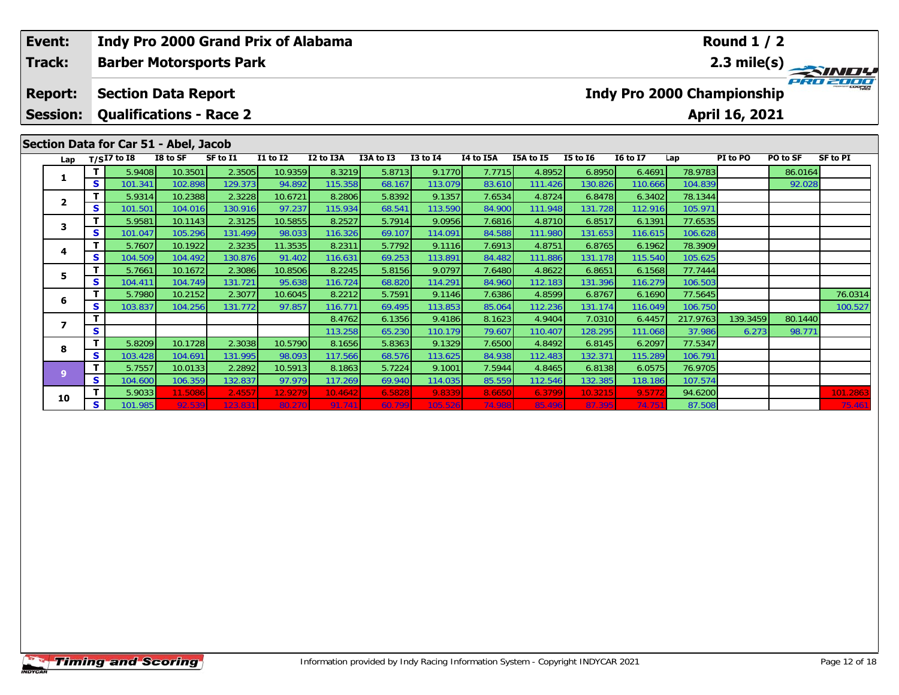| Event: |                 |                |                   |                                       |                                | Indy Pro 2000 Grand Prix of Alabama |                   |                  |                   |                  |                   |                    |                   |                    | <b>Round 1 / 2</b>                |          |                 |
|--------|-----------------|----------------|-------------------|---------------------------------------|--------------------------------|-------------------------------------|-------------------|------------------|-------------------|------------------|-------------------|--------------------|-------------------|--------------------|-----------------------------------|----------|-----------------|
| Track: |                 |                |                   |                                       | <b>Barber Motorsports Park</b> |                                     |                   |                  |                   |                  |                   |                    |                   |                    |                                   |          | 2.3 mile(s)     |
|        | <b>Report:</b>  |                |                   | <b>Section Data Report</b>            |                                |                                     |                   |                  |                   |                  |                   |                    |                   |                    | <b>Indy Pro 2000 Championship</b> |          |                 |
|        | <b>Session:</b> |                |                   | <b>Qualifications - Race 2</b>        |                                |                                     |                   |                  |                   |                  |                   |                    |                   |                    | April 16, 2021                    |          |                 |
|        |                 |                |                   | Section Data for Car 51 - Abel, Jacob |                                |                                     |                   |                  |                   |                  |                   |                    |                   |                    |                                   |          |                 |
|        | Lap             |                | $T/SI7$ to $I8$   | I8 to SF                              | SF to I1                       | I1 to I2                            | I2 to I3A         | I3A to I3        | <b>I3 to I4</b>   | I4 to I5A        | I5A to I5         | I5 to $16$         | <b>16 to 17</b>   | Lap                | PI to PO                          | PO to SF | <b>SF to PI</b> |
|        | 1               | т              | 5.9408            | 10.3501                               | 2.3505                         | 10.9359                             | 8.3219            | 5.8713           | 9.1770            | 7.7715           | 4.8952            | 6.8950             | 6.4691            | 78.9783            |                                   | 86.0164  |                 |
|        |                 | S.             | 101.341<br>5.9314 | 102.898<br>10.2388                    | 129.373<br>2.3228              | 94.892<br>10.6721                   | 115.358<br>8.2806 | 68.167<br>5.8392 | 113.079<br>9.1357 | 83.610<br>7.6534 | 111.426<br>4.8724 | 130.826<br>6.8478  | 110.666<br>6.3402 | 104.839<br>78.1344 |                                   | 92.028   |                 |
|        | $\mathbf{2}$    | S              | 101.501           | 104.016                               | 130.916                        | 97.237                              | 115.934           | 68.541           | 113.590           | 84.900           | 111.948           | 131.728            | 112.916           | 105.971            |                                   |          |                 |
|        |                 | т              | 5.9581            | 10.1143                               | 2.3125                         | 10.5855                             | 8.2527            | 5.7914           | 9.0956            | 7.6816           | 4.8710            | 6.8517             | 6.1391            | 77.6535            |                                   |          |                 |
|        | 3               | <b>S</b>       | 101.047           | 105.296                               | 131.499                        | 98.033                              | 116.326           | 69.107           | 114.091           | 84.588           | 111.980           | 131.653            | 116.615           | 106.628            |                                   |          |                 |
|        |                 | т              | 5.7607            | 10.1922                               | 2.3235                         | 11.3535                             | 8.2311            | 5.7792           | 9.1116            | 7.6913           | 4.8751            | 6.8765             | 6.1962            | 78.3909            |                                   |          |                 |
|        | 4               | S              | 104.509           | 104.492                               | 130.876                        | 91.402                              | 116.631           | 69.253           | 113.891           | 84.482           | 111.886           | 131.178            | 115.540           | 105.625            |                                   |          |                 |
|        | 5               | T.             | 5.7661            | 10.1672                               | 2.3086                         | 10.8506                             | 8.2245            | 5.8156           | 9.0797            | 7.6480           | 4.8622            | 6.8651             | 6.1568            | 77.7444            |                                   |          |                 |
|        |                 | S              | 104.411           | 104.749                               | 131.721                        | 95.638                              | 116.724           | 68.820           | 114.291           | 84.960           | 112.183           | 131.396            | 116.279           | 106.503            |                                   |          |                 |
|        | 6               | т              | 5.7980            | 10.2152                               | 2.3077                         | 10.6045                             | 8.2212            | 5.7591           | 9.1146            | 7.6386           | 4.8599            | 6.8767             | 6.1690            | 77.5645            |                                   |          | 76.0314         |
|        |                 | S              | 103.837           | 104.256                               | 131.772                        | 97.857                              | 116.77'           | 69.495           | 113.853           | 85.064           | 112.236           | 131.174            | 116.049           | 106.750            |                                   |          | 100.527         |
|        | $\overline{ }$  | т              |                   |                                       |                                |                                     | 8.4762            | 6.1356           | 9.4186            | 8.1623           | 4.9404            | 7.0310             | 6.4457            | 217.9763           | 139.3459                          | 80.1440  |                 |
|        |                 | S              |                   |                                       |                                |                                     | 113.258           | 65.230           | 110.179           | 79.607           | 110.407           | 128.295            | 111.068           | 37.986             | 6.273                             | 98.771   |                 |
|        | 8               | т              | 5.8209            | 10.1728                               | 2.3038                         | 10.5790                             | 8.1656            | 5.8363           | 9.1329            | 7.6500           | 4.8492            | 6.8145             | 6.2097            | 77.5347            |                                   |          |                 |
|        |                 | S              | 103.428           | 104.691                               | 131.995                        | 98.093                              | 117.566           | 68.576           | 113.625           | 84.938           | 112.483           | 132.371            | 115.289           | 106.791            |                                   |          |                 |
|        | 9               | T.<br><b>S</b> | 5.7557<br>104.600 | 10.0133<br>106.359                    | 2.2892<br>132.837              | 10.5913<br>97.979                   | 8.1863<br>117.269 | 5.7224<br>69.940 | 9.1001<br>114.035 | 7.5944<br>85.559 | 4.8465<br>112.546 | 6.8138             | 6.0575            | 76.9705<br>107.574 |                                   |          |                 |
|        |                 | $\mathbf{T}$   | 5.9033            | 11.5086                               | 2.4557                         | 12.9279                             | 10.4642           | 6.5828           | 9.8339            | 8.6650           | 6.3799            | 132.385<br>10.3215 | 118.186<br>9.5772 | 94.6200            |                                   |          | 101.2863        |

**<sup>T</sup>** 5.9033 11.5086 2.4557 12.9279 10.4642 6.5828 9.8339 8.6650 6.3799 10.3215 9.5772 94.6200 101.2863 **<sup>S</sup>** 101.985 92.539 123.831 80.270 91.741 60.799 105.526 74.988 85.496 87.395 74.751 87.508 75.461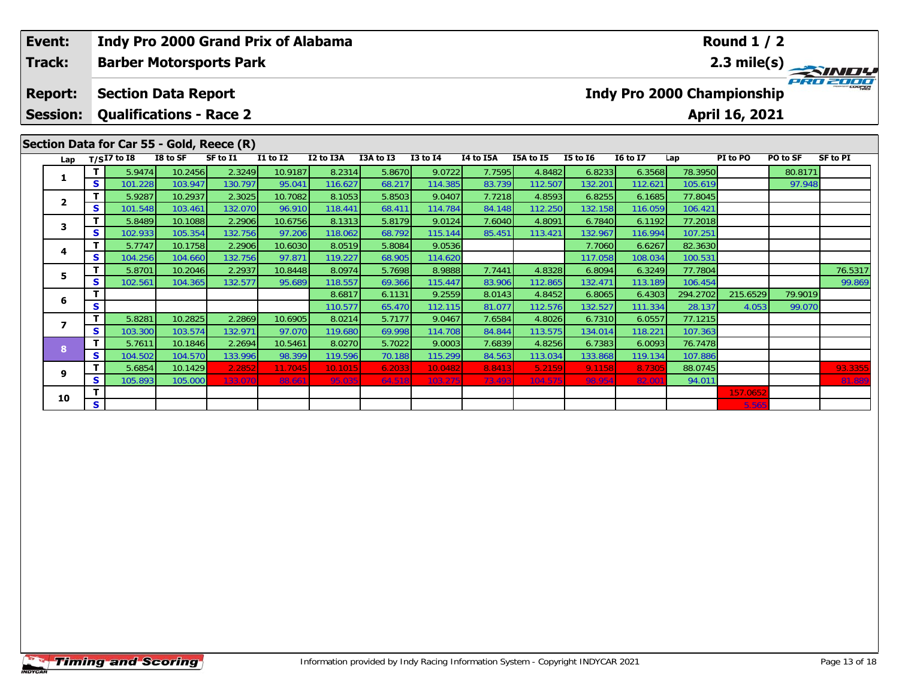| Event:<br><b>Track:</b>                                                                                                                                                                                                                                              |                                   |    | <b>Indy Pro 2000 Grand Prix of Alabama</b>                   |                    |                   |                   |                   |                  | <b>Round 1 / 2</b>                                  |                  |                   |                   |                   |                    |          |         |         |  |  |
|----------------------------------------------------------------------------------------------------------------------------------------------------------------------------------------------------------------------------------------------------------------------|-----------------------------------|----|--------------------------------------------------------------|--------------------|-------------------|-------------------|-------------------|------------------|-----------------------------------------------------|------------------|-------------------|-------------------|-------------------|--------------------|----------|---------|---------|--|--|
|                                                                                                                                                                                                                                                                      |                                   |    | <b>Barber Motorsports Park</b>                               |                    |                   |                   |                   |                  |                                                     |                  |                   |                   | 2.3 mile(s)       |                    |          |         |         |  |  |
|                                                                                                                                                                                                                                                                      | <b>Report:</b><br><b>Session:</b> |    | <b>Section Data Report</b><br><b>Qualifications - Race 2</b> |                    |                   |                   |                   |                  | <b>Indy Pro 2000 Championship</b><br>April 16, 2021 |                  |                   |                   |                   |                    |          |         |         |  |  |
| Section Data for Car 55 - Gold, Reece (R)<br><b>I5 to 16</b><br><b>I6 to I7</b><br>$T/SI7$ to I8<br>I8 to SF<br>SF to I1<br><b>I1 to I2</b><br>I2 to I3A<br>I3A to I3<br><b>I3 to I4</b><br>I4 to I5A<br>I5A to I5<br>PI to PO<br>PO to SF<br><b>SF to PI</b><br>Lap |                                   |    |                                                              |                    |                   |                   |                   |                  |                                                     |                  |                   |                   |                   |                    |          |         |         |  |  |
|                                                                                                                                                                                                                                                                      | Lap                               |    |                                                              |                    |                   |                   |                   |                  |                                                     |                  |                   |                   |                   |                    |          |         |         |  |  |
|                                                                                                                                                                                                                                                                      | 1                                 |    | 5.9474                                                       | 10.2456            | 2.3249            | 10.9187           | 8.2314            | 5.8670           | 9.0722                                              | 7.7595           | 4.8482            | 6.8233            | 6.3568            | 78.3950            |          | 80.8171 |         |  |  |
|                                                                                                                                                                                                                                                                      |                                   | S  | 101.228<br>5.9287                                            | 103.947<br>10.2937 | 130.797<br>2.3025 | 95.041<br>10.7082 | 116.627<br>8.1053 | 68.217<br>5.8503 | 114.385<br>9.0407                                   | 83.739<br>7.7218 | 112.507<br>4.8593 | 132.201<br>6.8255 | 112.621<br>6.1685 | 105.619<br>77.8045 |          | 97.948  |         |  |  |
|                                                                                                                                                                                                                                                                      | $\mathbf{2}$                      | S  | 101.548                                                      | 103.461            | 132.070           | 96.910            | 118.441           | 68.411           | 114.784                                             | 84.148           | 112.250           | 132.158           | 116.059           | 106.421            |          |         |         |  |  |
|                                                                                                                                                                                                                                                                      |                                   | т  | 5.8489                                                       | 10.1088            | 2.2906            | 10.6756           | 8.1313            | 5.8179           | 9.0124                                              | 7.6040           | 4.8091            | 6.7840            | 6.1192            | 77.2018            |          |         |         |  |  |
|                                                                                                                                                                                                                                                                      | 3                                 | S  | 102.933                                                      | 105.354            | 132.756           | 97.206            | 118.062           | 68.792           | 115.144                                             | 85.451           | 113.421           | 132.967           | 116.994           | 107.251            |          |         |         |  |  |
|                                                                                                                                                                                                                                                                      |                                   |    | 5.7747                                                       | 10.1758            | 2.2906            | 10.6030           | 8.0519            | 5.8084           | 9.0536                                              |                  |                   | 7.7060            | 6.6267            | 82.3630            |          |         |         |  |  |
|                                                                                                                                                                                                                                                                      | 4                                 | S  | 104.256                                                      | 104.660            | 132.756           | 97.871            | 119.227           | 68.905           | 114.620                                             |                  |                   | 117.058           | 108.034           | 100.531            |          |         |         |  |  |
|                                                                                                                                                                                                                                                                      | 5.                                |    | 5.8701                                                       | 10.2046            | 2.2937            | 10.8448           | 8.0974            | 5.7698           | 8.9888                                              | 7.7441           | 4.8328            | 6.8094            | 6.3249            | 77.7804            |          |         | 76.5317 |  |  |
|                                                                                                                                                                                                                                                                      |                                   | s  | 102.561                                                      | 104.365            | 132.577           | 95.689            | 118.557           | 69.366           | 115.447                                             | 83.906           | 112.865           | 132.471           | 113.189           | 106.454            |          |         | 99.869  |  |  |
|                                                                                                                                                                                                                                                                      | 6                                 |    |                                                              |                    |                   |                   | 8.6817            | 6.1131           | 9.2559                                              | 8.0143           | 4.8452            | 6.8065            | 6.4303            | 294.2702           | 215.6529 | 79.9019 |         |  |  |
|                                                                                                                                                                                                                                                                      |                                   | S  |                                                              |                    |                   |                   | 110.577           | 65.470           | 112.115                                             | 81.077           | 112.576           | 132.527           | 111.334           | 28.137             | 4.053    | 99.070  |         |  |  |
|                                                                                                                                                                                                                                                                      | 7                                 | т  | 5.8281                                                       | 10.2825            | 2.2869            | 10.6905           | 8.0214            | 5.7177           | 9.0467                                              | 7.6584           | 4.8026            | 6.7310            | 6.0557            | 77.1215            |          |         |         |  |  |
|                                                                                                                                                                                                                                                                      |                                   | S  | 103.300                                                      | 103.574            | 132.971           | 97.070            | 119.680           | 69.998           | 114.708                                             | 84.844           | 113.575           | 134.014           | 118.221           | 107.363            |          |         |         |  |  |
|                                                                                                                                                                                                                                                                      | 8                                 |    | 5.7611                                                       | 10.1846            | 2.2694            | 10.5461           | 8.0270            | 5.7022           | 9.0003                                              | 7.6839           | 4.8256            | 6.7383            | 6.0093            | 76.7478            |          |         |         |  |  |
|                                                                                                                                                                                                                                                                      |                                   | S  | 104.502                                                      | 104.570            | 133.996           | 98.399            | 119.596           | 70.188           | 115.299                                             | 84.563           | 113.034           | 133.868           | 119.134           | 107.886            |          |         |         |  |  |
|                                                                                                                                                                                                                                                                      | 9                                 | s  | 5.6854<br>105.893                                            | 10.1429<br>105.000 | 2.2852<br>133.07  | 11.7045<br>88.661 | 10.1015<br>95.03  | 6.2033<br>64.518 | 10.0482<br>103.27                                   | 8.8413<br>73.493 | 5.2159<br>104.575 | 9.1158<br>98.954  | 8.7305            | 88.0745<br>94.011  |          |         | 93.3355 |  |  |
|                                                                                                                                                                                                                                                                      |                                   |    |                                                              |                    |                   |                   |                   |                  |                                                     |                  |                   |                   | 82.00             |                    | 157.0652 |         | 81.88   |  |  |
|                                                                                                                                                                                                                                                                      | 10                                | S. |                                                              |                    |                   |                   |                   |                  |                                                     |                  |                   |                   |                   |                    | 5.565    |         |         |  |  |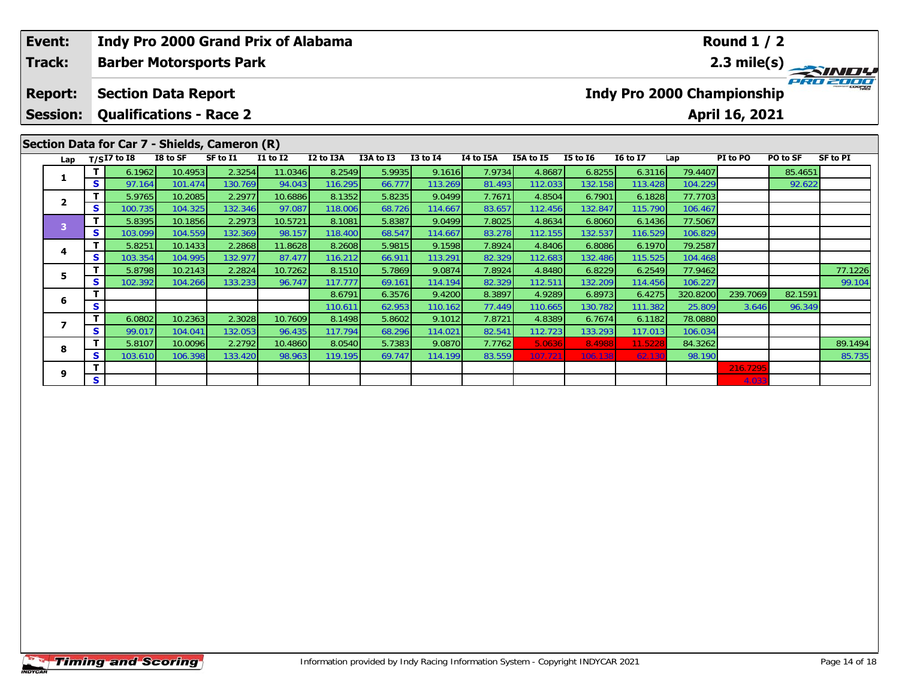| Event:<br>Track:                                                                                                                                                                             |    | Indy Pro 2000 Grand Prix of Alabama<br><b>Barber Motorsports Park</b> |         |         |         |         |        |                                   | <b>Round 1 / 2</b><br>$\frac{2.3 \text{ mile(s)}}{P_{R0}^2 P_{L0}^2}$ |           |         |                 |          |          |          |         |  |  |
|----------------------------------------------------------------------------------------------------------------------------------------------------------------------------------------------|----|-----------------------------------------------------------------------|---------|---------|---------|---------|--------|-----------------------------------|-----------------------------------------------------------------------|-----------|---------|-----------------|----------|----------|----------|---------|--|--|
| <b>Report:</b>                                                                                                                                                                               |    | <b>Section Data Report</b>                                            |         |         |         |         |        | <b>Indy Pro 2000 Championship</b> |                                                                       |           |         |                 |          |          |          |         |  |  |
| <b>Session:</b>                                                                                                                                                                              |    | <b>Qualifications - Race 2</b>                                        |         |         |         |         |        |                                   | April 16, 2021                                                        |           |         |                 |          |          |          |         |  |  |
| Section Data for Car 7 - Shields, Cameron (R)<br>I8 to SF<br>I2 to I3A<br>I3A to I3<br><b>I3 to I4</b><br><b>I5 to 16</b><br>$T/SI7$ to I8<br>SF to I1<br><b>I1 to I2</b><br><b>SF to PI</b> |    |                                                                       |         |         |         |         |        |                                   |                                                                       |           |         |                 |          |          |          |         |  |  |
| Lap                                                                                                                                                                                          |    |                                                                       |         |         |         |         |        |                                   | I4 to I5A                                                             | I5A to I5 |         | <b>16 to 17</b> | Lap      | PI to PO | PO to SF |         |  |  |
| 1                                                                                                                                                                                            | т  | 6.1962                                                                | 10.4953 | 2.3254  | 11.0346 | 8.2549  | 5.9935 | 9.1616                            | 7.9734                                                                | 4.8687    | 6.8255  | 6.3116          | 79.4407  |          | 85.4651  |         |  |  |
|                                                                                                                                                                                              | S. | 97.164                                                                | 101.474 | 130.769 | 94.043  | 116.295 | 66.777 | 113.269                           | 81.493                                                                | 112.033   | 132.158 | 113.428         | 104.229  |          | 92.622   |         |  |  |
| $\mathbf{2}$                                                                                                                                                                                 | т  | 5.9765                                                                | 10.2085 | 2.2977  | 10.6886 | 8.1352  | 5.8235 | 9.0499                            | 7.7671                                                                | 4.8504    | 6.7901  | 6.1828          | 77.7703  |          |          |         |  |  |
|                                                                                                                                                                                              | S. | 100.735                                                               | 104.325 | 132.346 | 97.087  | 118.006 | 68.726 | 114.667                           | 83.657                                                                | 112.456   | 132.847 | 115.790         | 106.467  |          |          |         |  |  |
| 3                                                                                                                                                                                            | т  | 5.8395                                                                | 10.1856 | 2.2973  | 10.5721 | 8.1081  | 5.8387 | 9.0499                            | 7.8025                                                                | 4.8634    | 6.8060  | 6.1436          | 77.5067  |          |          |         |  |  |
|                                                                                                                                                                                              | S. | 103.099                                                               | 104.559 | 132.369 | 98.157  | 118.400 | 68.547 | 114.667                           | 83.278                                                                | 112.155   | 132.537 | 116.529         | 106.829  |          |          |         |  |  |
| 4                                                                                                                                                                                            |    | 5.8251                                                                | 10.1433 | 2.2868  | 11.8628 | 8.2608  | 5.9815 | 9.1598                            | 7.8924                                                                | 4.8406    | 6.8086  | 6.1970          | 79.2587  |          |          |         |  |  |
|                                                                                                                                                                                              | S  | 103.354                                                               | 104.995 | 132.977 | 87.477  | 116.212 | 66.911 | 113.291                           | 82.329                                                                | 112.683   | 132.486 | 115.525         | 104.468  |          |          |         |  |  |
| 5                                                                                                                                                                                            | т  | 5.8798                                                                | 10.2143 | 2.2824  | 10.7262 | 8.1510  | 5.7869 | 9.0874                            | 7.8924                                                                | 4.8480    | 6.8229  | 6.2549          | 77.9462  |          |          | 77.1226 |  |  |
|                                                                                                                                                                                              | S  | 102.392                                                               | 104.266 | 133.233 | 96.747  | 117.777 | 69.161 | 114.194                           | 82.329                                                                | 112.511   | 132.209 | 114.456         | 106.227  |          |          | 99.104  |  |  |
| 6                                                                                                                                                                                            |    |                                                                       |         |         |         | 8.6791  | 6.3576 | 9.4200                            | 8.3897                                                                | 4.9289    | 6.8973  | 6.4275          | 320.8200 | 239.7069 | 82.1591  |         |  |  |
|                                                                                                                                                                                              | S  |                                                                       |         |         |         | 110.611 | 62.953 | 110.162                           | 77.449                                                                | 110.665   | 130.782 | 111.382         | 25.809   | 3.646    | 96.349   |         |  |  |
| $\overline{ }$                                                                                                                                                                               | т  | 6.0802                                                                | 10.2363 | 2.3028  | 10.7609 | 8.1498  | 5.8602 | 9.1012                            | 7.8721                                                                | 4.8389    | 6.7674  | 6.1182          | 78.0880  |          |          |         |  |  |
|                                                                                                                                                                                              | S. | 99.017                                                                | 104.041 | 132.053 | 96.435  | 117.794 | 68.296 | 114.021                           | 82.541                                                                | 112.723   | 133.293 | 117.013         | 106.034  |          |          |         |  |  |
| 8                                                                                                                                                                                            |    | 5.8107                                                                | 10.0096 | 2.2792  | 10.4860 | 8.0540  | 5.7383 | 9.0870                            | 7.7762                                                                | 5.0636    | 8.4988  | 11.5228         | 84.3262  |          |          | 89.1494 |  |  |
|                                                                                                                                                                                              | s  | 103.610                                                               | 106.398 | 133.420 | 98.963  | 119.195 | 69.747 | 114.199                           | 83.559                                                                | 107.721   | 106.138 | 62.13           | 98.190   |          |          | 85.735  |  |  |
| 9                                                                                                                                                                                            |    |                                                                       |         |         |         |         |        |                                   |                                                                       |           |         |                 |          | 216.7295 |          |         |  |  |
|                                                                                                                                                                                              | S  |                                                                       |         |         |         |         |        |                                   |                                                                       |           |         |                 |          | 4.033    |          |         |  |  |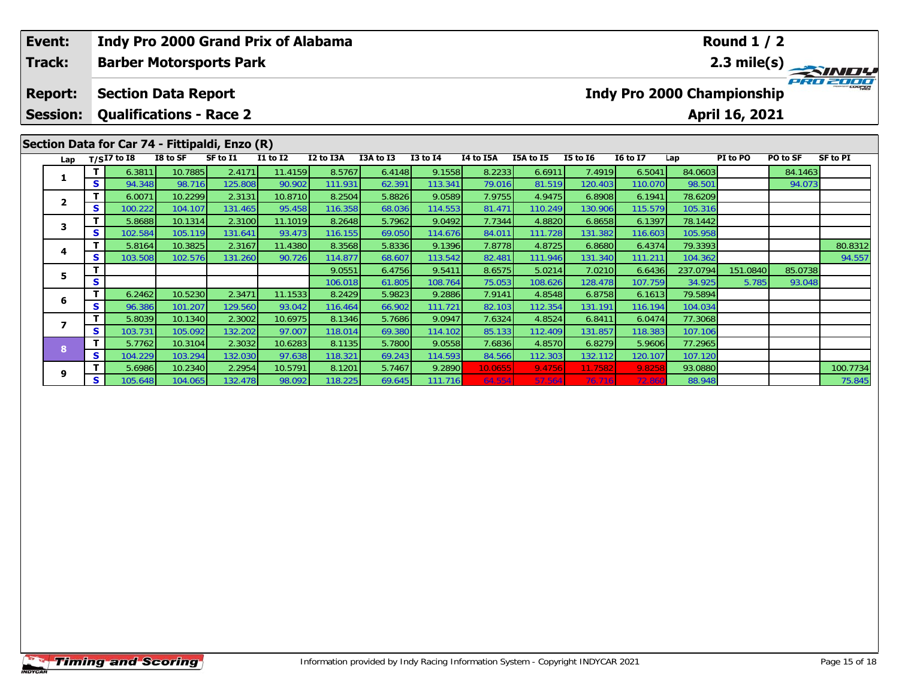| Event:<br>Track:                                                                                                                                                                                                                                                            |   |         |                            | <b>Indy Pro 2000 Grand Prix of Alabama</b><br><b>Barber Motorsports Park</b> |         |         |        |         | <b>Round 1 / 2</b><br>2.3 mile(s) |         |         |         |          |          |         |          |  |  |  |
|-----------------------------------------------------------------------------------------------------------------------------------------------------------------------------------------------------------------------------------------------------------------------------|---|---------|----------------------------|------------------------------------------------------------------------------|---------|---------|--------|---------|-----------------------------------|---------|---------|---------|----------|----------|---------|----------|--|--|--|
| <b>Report:</b>                                                                                                                                                                                                                                                              |   |         | <b>Section Data Report</b> |                                                                              |         |         |        |         | <b>Indy Pro 2000 Championship</b> |         |         |         |          |          |         |          |  |  |  |
| <b>Session:</b>                                                                                                                                                                                                                                                             |   |         |                            | <b>Qualifications - Race 2</b>                                               |         |         |        |         | April 16, 2021                    |         |         |         |          |          |         |          |  |  |  |
| Section Data for Car 74 - Fittipaldi, Enzo (R)<br>I8 to SF<br>I2 to I3A<br>I3A to I3<br><b>I3 to I4</b><br>I4 to I5A<br>I5A to I5<br><b>I5 to 16</b><br><b>16 to 17</b><br>PO to SF<br>$T/SI7$ to $I8$<br>SF to I1<br><b>I1 to I2</b><br>PI to PO<br><b>SF to PI</b><br>Lap |   |         |                            |                                                                              |         |         |        |         |                                   |         |         |         |          |          |         |          |  |  |  |
| Lap                                                                                                                                                                                                                                                                         |   |         |                            |                                                                              |         |         |        |         |                                   |         |         |         |          |          |         |          |  |  |  |
| 1                                                                                                                                                                                                                                                                           |   | 6.3811  | 10.7885                    | 2.4171                                                                       | 11.4159 | 8.5767  | 6.4148 | 9.1558  | 8.2233                            | 6.6911  | 7.4919  | 6.5041  | 84.0603  |          | 84.1463 |          |  |  |  |
|                                                                                                                                                                                                                                                                             | S | 94.348  | 98.716                     | 125.808                                                                      | 90.902  | 111.931 | 62.391 | 113.341 | 79.016                            | 81.519  | 120.403 | 110.070 | 98.501   |          | 94.073  |          |  |  |  |
| $\mathbf{2}$                                                                                                                                                                                                                                                                | т | 6.0071  | 10.2299                    | 2.3131                                                                       | 10.8710 | 8.2504  | 5.8826 | 9.0589  | 7.9755                            | 4.9475  | 6.8908  | 6.1941  | 78.6209  |          |         |          |  |  |  |
|                                                                                                                                                                                                                                                                             | S | 100.222 | 104.107                    | 131.465                                                                      | 95.458  | 116.358 | 68.036 | 114.553 | 81.471                            | 110.249 | 130.906 | 115.579 | 105.316  |          |         |          |  |  |  |
| 3                                                                                                                                                                                                                                                                           | т | 5.8688  | 10.1314                    | 2.3100                                                                       | 11.1019 | 8.2648  | 5.7962 | 9.0492  | 7.7344                            | 4.8820  | 6.8658  | 6.1397  | 78.1442  |          |         |          |  |  |  |
|                                                                                                                                                                                                                                                                             | S | 102.584 | 105.119                    | 131.641                                                                      | 93.473  | 116.155 | 69.050 | 114.676 | 84.011                            | 111.728 | 131.382 | 116.603 | 105.958  |          |         |          |  |  |  |
| 4                                                                                                                                                                                                                                                                           |   | 5.8164  | 10.3825                    | 2.3167                                                                       | 11.4380 | 8.3568  | 5.8336 | 9.1396  | 7.8778                            | 4.8725  | 6.8680  | 6.4374  | 79.3393  |          |         | 80.8312  |  |  |  |
|                                                                                                                                                                                                                                                                             | S | 103.508 | 102.576                    | 131.260                                                                      | 90.726  | 114.877 | 68.607 | 113.542 | 82.481                            | 111.946 | 131.340 | 111.211 | 104.362  |          |         | 94.557   |  |  |  |
| 5                                                                                                                                                                                                                                                                           |   |         |                            |                                                                              |         | 9.0551  | 6.4756 | 9.5411  | 8.6575                            | 5.0214  | 7.0210  | 6.6436  | 237.0794 | 151.0840 | 85.0738 |          |  |  |  |
|                                                                                                                                                                                                                                                                             | S |         |                            |                                                                              |         | 106.018 | 61.805 | 108.764 | 75.053                            | 108.626 | 128.478 | 107.759 | 34.925   | 5.785    | 93.048  |          |  |  |  |
| 6                                                                                                                                                                                                                                                                           | Т | 6.2462  | 10.5230                    | 2.3471                                                                       | 11.1533 | 8.2429  | 5.9823 | 9.2886  | 7.9141                            | 4.8548  | 6.8758  | 6.1613  | 79.5894  |          |         |          |  |  |  |
|                                                                                                                                                                                                                                                                             | S | 96.386  | 101.207                    | 129.560                                                                      | 93.042  | 116.464 | 66.902 | 111.721 | 82.103                            | 112.354 | 131.191 | 116.194 | 104.034  |          |         |          |  |  |  |
| $\overline{ }$                                                                                                                                                                                                                                                              | т | 5.8039  | 10.1340                    | 2.3002                                                                       | 10.6975 | 8.1346  | 5.7686 | 9.0947  | 7.6324                            | 4.8524  | 6.8411  | 6.0474  | 77.3068  |          |         |          |  |  |  |
|                                                                                                                                                                                                                                                                             | S | 103.731 | 105.092                    | 132.202                                                                      | 97.007  | 118.014 | 69.380 | 114.102 | 85.133                            | 112.409 | 131.857 | 118.383 | 107.106  |          |         |          |  |  |  |
| 8                                                                                                                                                                                                                                                                           | т | 5.7762  | 10.3104                    | 2.3032                                                                       | 10.6283 | 8.1135  | 5.7800 | 9.0558  | 7.6836                            | 4.8570  | 6.8279  | 5.9606  | 77.2965  |          |         |          |  |  |  |
|                                                                                                                                                                                                                                                                             | S | 104.229 | 103.294                    | 132.030                                                                      | 97.638  | 118.321 | 69.243 | 114.593 | 84.566                            | 112.303 | 132.112 | 120.107 | 107.120  |          |         |          |  |  |  |
| 9                                                                                                                                                                                                                                                                           |   | 5.6986  | 10.2340                    | 2.2954                                                                       | 10.5791 | 8.1201  | 5.7467 | 9.2890  | 10.0655                           | 9.4756  | 11.7582 | 9.825   | 93.0880  |          |         | 100.7734 |  |  |  |
|                                                                                                                                                                                                                                                                             | s | 105.648 | 104.065                    | 132.478                                                                      | 98.092  | 118.225 | 69.645 | 111.716 | 64.554                            | 57.564  | 76.716  | 72.86   | 88.948   |          |         | 75.845   |  |  |  |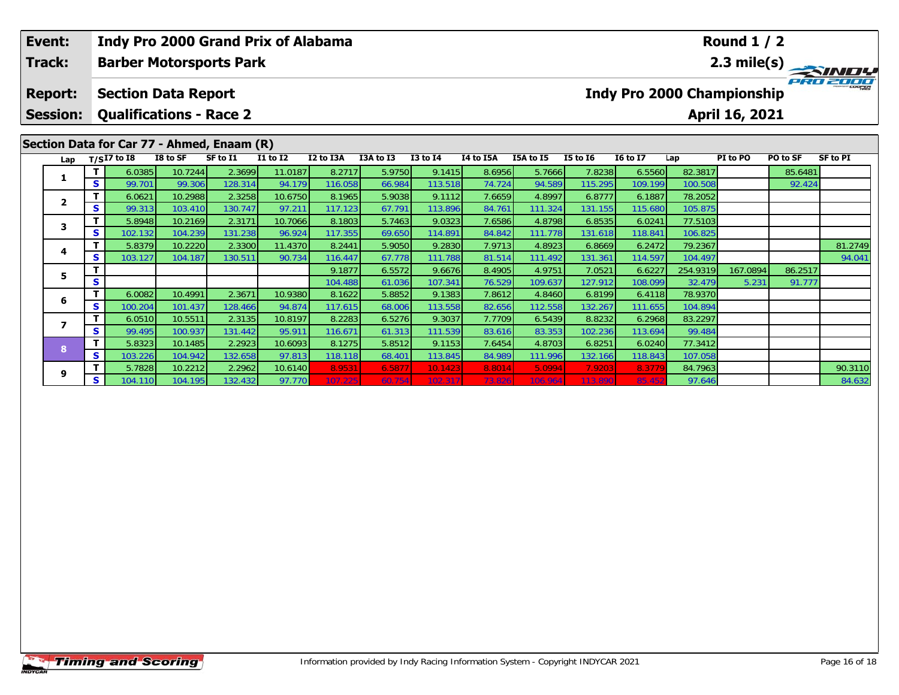| Event:<br>Track: |                                            |          | Indy Pro 2000 Grand Prix of Alabama |                    |                   |                   |                   | <b>Round 1 / 2</b>                                  |                   |                  |                   |                   |                   |                    |          |          |                 |  |  |
|------------------|--------------------------------------------|----------|-------------------------------------|--------------------|-------------------|-------------------|-------------------|-----------------------------------------------------|-------------------|------------------|-------------------|-------------------|-------------------|--------------------|----------|----------|-----------------|--|--|
|                  |                                            |          | <b>Barber Motorsports Park</b>      |                    |                   |                   |                   |                                                     |                   |                  |                   |                   | 2.3 mile(s)       |                    |          |          |                 |  |  |
|                  | <b>Report:</b>                             |          | <b>Section Data Report</b>          |                    |                   |                   |                   | <b>Indy Pro 2000 Championship</b><br>April 16, 2021 |                   |                  |                   |                   |                   |                    |          |          |                 |  |  |
|                  | <b>Session:</b>                            |          | <b>Qualifications - Race 2</b>      |                    |                   |                   |                   |                                                     |                   |                  |                   |                   |                   |                    |          |          |                 |  |  |
|                  | Section Data for Car 77 - Ahmed, Enaam (R) |          |                                     |                    |                   |                   |                   |                                                     |                   |                  |                   |                   |                   |                    |          |          |                 |  |  |
|                  | Lap                                        |          | $T/SI7$ to I8                       | I8 to SF           | SF to I1          | <b>I1 to I2</b>   | I2 to I3A         | I3A to I3                                           | <b>I3 to I4</b>   | I4 to I5A        | I5A to I5         | <b>I5 to 16</b>   | <b>16 to 17</b>   | Lap                | PI to PO | PO to SF | <b>SF to PI</b> |  |  |
|                  |                                            |          | 6.0385                              | 10.7244            | 2.3699            | 11.0187           | 8.2717            | 5.9750                                              | 9.1415            | 8.6956           | 5.7666            | 7.8238            | 6.5560            | 82.3817            |          | 85.6481  |                 |  |  |
|                  |                                            | S.       | 99.701                              | 99.306             | 128.314           | 94.179            | 116.058           | 66.984                                              | 113.518           | 74.724           | 94.589            | 115.295           | 109.199           | 100.508            |          | 92.424   |                 |  |  |
|                  | $\mathbf{2}$                               | S.       | 6.0621                              | 10.2988            | 2.3258            | 10.6750           | 8.1965            | 5.9038                                              | 9.1112            | 7.6659           | 4.8997            | 6.8777            | 6.1887            | 78.2052            |          |          |                 |  |  |
|                  |                                            | Τ.       | 99.313<br>5.8948                    | 103.410<br>10.2169 | 130.747<br>2.3171 | 97.211<br>10.7066 | 117.123<br>8.1803 | 67.791<br>5.7463                                    | 113.896<br>9.0323 | 84.761<br>7.6586 | 111.324<br>4.8798 | 131.155<br>6.8535 | 115.680<br>6.0241 | 105.875<br>77.5103 |          |          |                 |  |  |
|                  | 3                                          | S        | 102.132                             | 104.239            | 131.238           | 96.924            | 117.355           | 69.650                                              | 114.891           | 84.842           | 111.778           | 131.618           | 118.841           | 106.825            |          |          |                 |  |  |
|                  |                                            | Τ.       | 5.8379                              | 10.2220            | 2.3300            | 11.4370           | 8.2441            | 5.9050                                              | 9.2830            | 7.9713           | 4.8923            | 6.8669            | 6.2472            | 79.2367            |          |          | 81.2749         |  |  |
|                  | 4                                          | S.       | 103.127                             | 104.187            | 130.511           | 90.734            | 116.447           | 67.778                                              | 111.788           | 81.514           | 111.492           | 131.361           | 114.597           | 104.497            |          |          | 94.041          |  |  |
|                  |                                            |          |                                     |                    |                   |                   | 9.1877            | 6.5572                                              | 9.6676            | 8.4905           | 4.9751            | 7.0521            | 6.6227            | 254.9319           | 167.0894 | 86.2517  |                 |  |  |
|                  | 5                                          | S        |                                     |                    |                   |                   | 104.488           | 61.036                                              | 107.341           | 76.529           | 109.637           | 127.912           | 108.099           | 32.479             | 5.231    | 91.777   |                 |  |  |
|                  |                                            | т        | 6.0082                              | 10.4991            | 2.3671            | 10.9380           | 8.1622            | 5.8852                                              | 9.1383            | 7.8612           | 4.8460            | 6.8199            | 6.4118            | 78.9370            |          |          |                 |  |  |
|                  | 6                                          | S.       | 100.204                             | 101.437            | 128.466           | 94.874            | 117.615           | 68.006                                              | 113.558           | 82.656           | 112.558           | 132.267           | 111.655           | 104.894            |          |          |                 |  |  |
|                  | $\overline{\phantom{a}}$                   | Τ.       | 6.0510                              | 10.5511            | 2.3135            | 10.8197           | 8.2283            | 6.5276                                              | 9.3037            | 7.7709           | 6.5439            | 8.8232            | 6.2968            | 83.2297            |          |          |                 |  |  |
|                  |                                            | S.       | 99.495                              | 100.937            | 131.442           | 95.911            | 116.671           | 61.313                                              | 111.539           | 83.616           | 83.353            | 102.236           | 113.694           | 99.484             |          |          |                 |  |  |
|                  | 8                                          |          | 5.8323                              | 10.1485            | 2.2923            | 10.6093           | 8.1275            | 5.8512                                              | 9.1153            | 7.6454           | 4.8703            | 6.8251            | 6.0240            | 77.3412            |          |          |                 |  |  |
|                  |                                            | <b>S</b> | 103.226                             | 104.942            | 132.658           | 97.813            | 118.118           | 68.401                                              | 113.845           | 84.989           | 111.996           | 132.166           | 118.843           | 107.058            |          |          |                 |  |  |

**<sup>T</sup>** 5.7828 10.2212 2.2962 10.6140 8.9531 6.5877 10.1423 8.8014 5.0994 7.9203 8.3779 84.7963 90.3110 **<sup>S</sup>** 104.110 104.195 132.432 97.770 107.225 60.754 102.317 73.826 106.964 113.890 85.452 97.646 84.632

**9**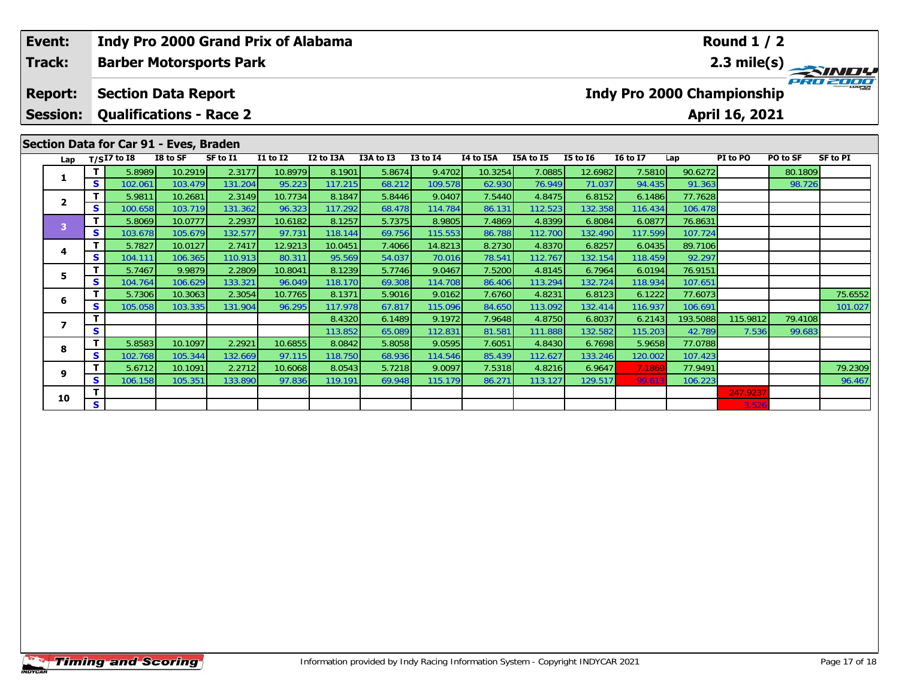| Event:<br>Track:                                                                                                                                                                                                                                           |    |                            |                    | <b>Indy Pro 2000 Grand Prix of Alabama</b><br><b>Barber Motorsports Park</b> |                   |                   |                  |                   | <b>Round 1 / 2</b><br>2.3 mile(s)                   |                  |                  |                  |                   |          |         |         |  |  |
|------------------------------------------------------------------------------------------------------------------------------------------------------------------------------------------------------------------------------------------------------------|----|----------------------------|--------------------|------------------------------------------------------------------------------|-------------------|-------------------|------------------|-------------------|-----------------------------------------------------|------------------|------------------|------------------|-------------------|----------|---------|---------|--|--|
| <b>Report:</b><br><b>Session:</b>                                                                                                                                                                                                                          |    | <b>Section Data Report</b> |                    | <b>Qualifications - Race 2</b>                                               |                   |                   |                  |                   | <b>Indy Pro 2000 Championship</b><br>April 16, 2021 |                  |                  |                  |                   |          |         |         |  |  |
| Section Data for Car 91 - Eves, Braden<br>I8 to SF<br>SF to I1<br>I1 to I2<br>I2 to I3A<br>I3A to I3<br><b>I3 to I4</b><br>I4 to I5A<br>I5A to I5<br><b>I5 to 16</b><br><b>16 to 17</b><br>PO to SF<br><b>SF to PI</b><br>$T/SI7$ to I8<br>PI to PO<br>Lap |    |                            |                    |                                                                              |                   |                   |                  |                   |                                                     |                  |                  |                  |                   |          |         |         |  |  |
| Lap                                                                                                                                                                                                                                                        |    |                            |                    |                                                                              |                   |                   |                  |                   |                                                     |                  |                  |                  |                   |          |         |         |  |  |
| 1.                                                                                                                                                                                                                                                         | S  | 5.8989                     | 10.2919            | 2.3177                                                                       | 10.8979           | 8.1901            | 5.8674           | 9.4702            | 10.3254                                             | 7.0885           | 12.6982          | 7.5810           | 90.6272           |          | 80.1809 |         |  |  |
|                                                                                                                                                                                                                                                            | T. | 102.061<br>5.9811          | 103.479<br>10.2681 | 131.204<br>2.3149                                                            | 95.223<br>10.7734 | 117.215<br>8.1847 | 68.212<br>5.8446 | 109.578<br>9.0407 | 62.930<br>7.5440                                    | 76.949<br>4.8475 | 71.037<br>6.8152 | 94.435<br>6.1486 | 91.363<br>77.7628 |          | 98.726  |         |  |  |
| $\mathbf{2}$                                                                                                                                                                                                                                               | s. | 100.658                    | 103.719            | 131.362                                                                      | 96.323            | 117.292           | 68.478           | 114.784           | 86.131                                              | 112.523          | 132.358          | 116.434          | 106.478           |          |         |         |  |  |
|                                                                                                                                                                                                                                                            | T. | 5.8069                     | 10.0777            | 2.2937                                                                       | 10.6182           | 8.1257            | 5.7375           | 8.9805            | 7.4869                                              | 4.8399           | 6.8084           | 6.0877           | 76.8631           |          |         |         |  |  |
| 3                                                                                                                                                                                                                                                          | S. | 103.678                    | 105.679            | 132.577                                                                      | 97.731            | 118.144           | 69.756           | 115.553           | 86.788                                              | 112.700          | 132.490          | 117.599          | 107.724           |          |         |         |  |  |
|                                                                                                                                                                                                                                                            | T  | 5.7827                     | 10.0127            | 2.7417                                                                       | 12.9213           | 10.0451           | 7.4066           | 14.8213           | 8.2730                                              | 4.8370           | 6.8257           | 6.0435           | 89.7106           |          |         |         |  |  |
| 4                                                                                                                                                                                                                                                          | S. | 104.111                    | 106.365            | 110.913                                                                      | 80.311            | 95.569            | 54.037           | 70.016            | 78.541                                              | 112.767          | 132.154          | 118.459          | 92.297            |          |         |         |  |  |
|                                                                                                                                                                                                                                                            | т  | 5.7467                     | 9.9879             | 2.2809                                                                       | 10.8041           | 8.1239            | 5.7746           | 9.0467            | 7.5200                                              | 4.8145           | 6.7964           | 6.0194           | 76.9151           |          |         |         |  |  |
| 5                                                                                                                                                                                                                                                          | S  | 104.764                    | 106.629            | 133.321                                                                      | 96.049            | 118.170           | 69.308           | 114.708           | 86.406                                              | 113.294          | 132.724          | 118.934          | 107.651           |          |         |         |  |  |
|                                                                                                                                                                                                                                                            | T. | 5.7306                     | 10.3063            | 2.3054                                                                       | 10.7765           | 8.1371            | 5.9016           | 9.0162            | 7.6760                                              | 4.8231           | 6.8123           | 6.1222           | 77.6073           |          |         | 75.6552 |  |  |
| 6                                                                                                                                                                                                                                                          | S  | 105.058                    | 103.335            | 131.904                                                                      | 96.295            | 117.978           | 67.817           | 115.096           | 84.650                                              | 113.092          | 132.414          | 116.937          | 106.691           |          |         | 101.027 |  |  |
| $\overline{\phantom{a}}$                                                                                                                                                                                                                                   | т  |                            |                    |                                                                              |                   | 8.4320            | 6.1489           | 9.1972            | 7.9648                                              | 4.8750           | 6.8037           | 6.2143           | 193.5088          | 115.9812 | 79.4108 |         |  |  |
|                                                                                                                                                                                                                                                            | S  |                            |                    |                                                                              |                   | 113.852           | 65.089           | 112.831           | 81.581                                              | 111.888          | 132.582          | 115.203          | 42.789            | 7.536    | 99.683  |         |  |  |
| 8                                                                                                                                                                                                                                                          | T. | 5.8583                     | 10.1097            | 2.2921                                                                       | 10.6855           | 8.0842            | 5.8058           | 9.0595            | 7.6051                                              | 4.8430           | 6.7698           | 5.9658           | 77.0788           |          |         |         |  |  |
|                                                                                                                                                                                                                                                            | S. | 102.768                    | 105.344            | 132.669                                                                      | 97.115            | 118.750           | 68.936           | 114.546           | 85.439                                              | 112.627          | 133.246          | 120.002          | 107.423           |          |         |         |  |  |
| 9                                                                                                                                                                                                                                                          |    | 5.6712                     | 10.1091            | 2.2712                                                                       | 10.6068           | 8.0543            | 5.7218           | 9.0097            | 7.5318                                              | 4.8216           | 6.9647           | 7.186            | 77.9491           |          |         | 79.2309 |  |  |
|                                                                                                                                                                                                                                                            | S  | 106.158                    | 105.351            | 133.890                                                                      | 97.836            | 119.191           | 69.948           | 115.179           | 86.271                                              | 113.127          | 129.517          | 99.61            | 106.223           |          |         | 96.467  |  |  |

**0**  $\begin{array}{|c|c|c|c|c|c|}\hline \textbf{S} & \textbf{S} & \textbf{S} & \textbf{S} & \textbf{S} & \textbf{S} & \textbf{S} & \textbf{S} & \textbf{S} & \textbf{S} & \textbf{S} & \textbf{S} & \textbf{S} & \textbf{S} & \textbf{S} & \textbf{S} & \textbf{S} & \textbf{S} & \textbf{S} & \textbf{S} & \textbf{S} & \textbf{S} & \textbf{S} & \textbf{S} & \textbf{S} & \textbf{S} & \textbf{S} & \textbf{S} &$